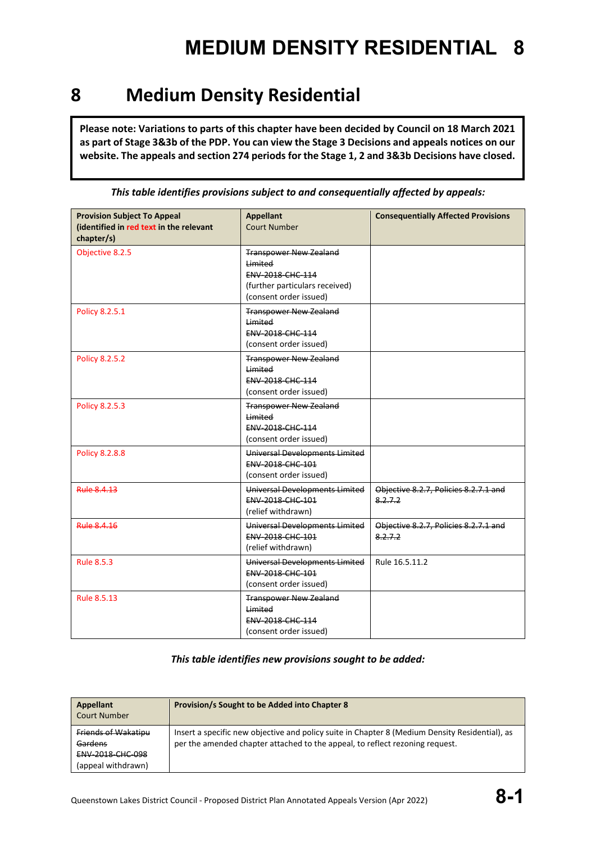#### **8 Medium Density Residential**

**Please note: Variations to parts of this chapter have been decided by Council on 18 March 2021 as part of Stage 3&3b of the PDP. You can view the Stage 3 Decisions and appeals notices on our website. The appeals and section 274 periods for the Stage 1, 2 and 3&3b Decisions have closed.**

| <b>Provision Subject To Appeal</b><br>(identified in red text in the relevant<br>chapter/s) | <b>Appellant</b><br><b>Court Number</b>                                                                                         | <b>Consequentially Affected Provisions</b>          |
|---------------------------------------------------------------------------------------------|---------------------------------------------------------------------------------------------------------------------------------|-----------------------------------------------------|
| Objective 8.2.5                                                                             | <b>Transpower New Zealand</b><br>Limited<br><b>ENV 2018 CHC 114</b><br>(further particulars received)<br>(consent order issued) |                                                     |
| Policy 8.2.5.1                                                                              | <b>Transpower New Zealand</b><br>Limited<br>ENV-2018-CHC-114<br>(consent order issued)                                          |                                                     |
| Policy 8.2.5.2                                                                              | <b>Transpower New Zealand</b><br>Limited<br><b>ENV 2018 CHC 114</b><br>(consent order issued)                                   |                                                     |
| Policy 8.2.5.3                                                                              | <b>Transpower New Zealand</b><br>Limited<br>ENV-2018-CHC-114<br>(consent order issued)                                          |                                                     |
| <b>Policy 8.2.8.8</b>                                                                       | Universal Developments Limited<br>ENV-2018-CHC-101<br>(consent order issued)                                                    |                                                     |
| <b>Rule 8.4.13</b>                                                                          | Universal Developments Limited<br>ENV-2018-CHC-101<br>(relief withdrawn)                                                        | Objective 8.2.7, Policies 8.2.7.1 and<br>8.2.7.2    |
| <b>Rule 8.4.16</b>                                                                          | Universal Developments Limited<br>ENV-2018-CHC-101<br>(relief withdrawn)                                                        | Objective 8.2.7, Policies 8.2.7.1 and<br>8, 2, 7, 2 |
| <b>Rule 8.5.3</b>                                                                           | Universal Developments Limited<br>ENV-2018-CHC-101<br>(consent order issued)                                                    | Rule 16.5.11.2                                      |
| Rule 8.5.13                                                                                 | <b>Transpower New Zealand</b><br>Limited<br>ENV-2018-CHC-114<br>(consent order issued)                                          |                                                     |

*This table identifies provisions subject to and consequentially affected by appeals:*

#### *This table identifies new provisions sought to be added:*

| Appellant<br><b>Court Number</b>                                         | Provision/s Sought to be Added into Chapter 8                                                                                                                                  |
|--------------------------------------------------------------------------|--------------------------------------------------------------------------------------------------------------------------------------------------------------------------------|
| Friends of Wakatipu<br>Gardens<br>ENV-2018-CHC-098<br>(appeal withdrawn) | Insert a specific new objective and policy suite in Chapter 8 (Medium Density Residential), as<br>per the amended chapter attached to the appeal, to reflect rezoning request. |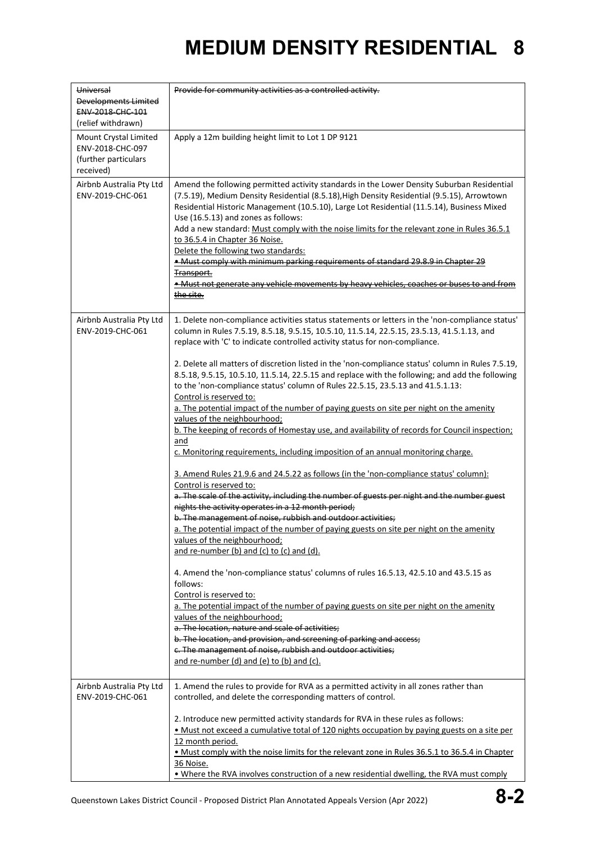| Universal<br>Developments Limited<br>ENV-2018-CHC-101<br>(relief withdrawn)    | Provide for community activities as a controlled activity.                                                                                                                                                                                                                                                                                                                                                                                                                                                                                                                                                                                                                                                                                                                                                                                                                                                                                                                                                                                                                                                                                                                                                                                                                                                                                                                                                                                                                                                                                                                                                                                                                                                                                                                                                                                                                                                                                   |
|--------------------------------------------------------------------------------|----------------------------------------------------------------------------------------------------------------------------------------------------------------------------------------------------------------------------------------------------------------------------------------------------------------------------------------------------------------------------------------------------------------------------------------------------------------------------------------------------------------------------------------------------------------------------------------------------------------------------------------------------------------------------------------------------------------------------------------------------------------------------------------------------------------------------------------------------------------------------------------------------------------------------------------------------------------------------------------------------------------------------------------------------------------------------------------------------------------------------------------------------------------------------------------------------------------------------------------------------------------------------------------------------------------------------------------------------------------------------------------------------------------------------------------------------------------------------------------------------------------------------------------------------------------------------------------------------------------------------------------------------------------------------------------------------------------------------------------------------------------------------------------------------------------------------------------------------------------------------------------------------------------------------------------------|
| Mount Crystal Limited<br>ENV-2018-CHC-097<br>(further particulars<br>received) | Apply a 12m building height limit to Lot 1 DP 9121                                                                                                                                                                                                                                                                                                                                                                                                                                                                                                                                                                                                                                                                                                                                                                                                                                                                                                                                                                                                                                                                                                                                                                                                                                                                                                                                                                                                                                                                                                                                                                                                                                                                                                                                                                                                                                                                                           |
| Airbnb Australia Pty Ltd<br>ENV-2019-CHC-061                                   | Amend the following permitted activity standards in the Lower Density Suburban Residential<br>(7.5.19), Medium Density Residential (8.5.18), High Density Residential (9.5.15), Arrowtown<br>Residential Historic Management (10.5.10), Large Lot Residential (11.5.14), Business Mixed<br>Use (16.5.13) and zones as follows:<br>Add a new standard: Must comply with the noise limits for the relevant zone in Rules 36.5.1<br>to 36.5.4 in Chapter 36 Noise.<br>Delete the following two standards:<br>. Must comply with minimum parking requirements of standard 29.8.9 in Chapter 29<br>Transport.<br>• Must not generate any vehicle movements by heavy vehicles, coaches or buses to and from<br>the site.                                                                                                                                                                                                                                                                                                                                                                                                                                                                                                                                                                                                                                                                                                                                                                                                                                                                                                                                                                                                                                                                                                                                                                                                                           |
| Airbnb Australia Pty Ltd<br>ENV-2019-CHC-061                                   | 1. Delete non-compliance activities status statements or letters in the 'non-compliance status'<br>column in Rules 7.5.19, 8.5.18, 9.5.15, 10.5.10, 11.5.14, 22.5.15, 23.5.13, 41.5.1.13, and<br>replace with 'C' to indicate controlled activity status for non-compliance.<br>2. Delete all matters of discretion listed in the 'non-compliance status' column in Rules 7.5.19,<br>8.5.18, 9.5.15, 10.5.10, 11.5.14, 22.5.15 and replace with the following; and add the following<br>to the 'non-compliance status' column of Rules 22.5.15, 23.5.13 and 41.5.1.13:<br>Control is reserved to:<br>a. The potential impact of the number of paying guests on site per night on the amenity<br>values of the neighbourhood;<br>b. The keeping of records of Homestay use, and availability of records for Council inspection;<br>and<br>c. Monitoring requirements, including imposition of an annual monitoring charge.<br>3. Amend Rules 21.9.6 and 24.5.22 as follows (in the 'non-compliance status' column):<br>Control is reserved to:<br>a. The scale of the activity, including the number of guests per night and the number guest<br>nights the activity operates in a 12 month period;<br>b. The management of noise, rubbish and outdoor activities;<br>a. The potential impact of the number of paying guests on site per night on the amenity<br>values of the neighbourhood;<br>and re-number (b) and (c) to (c) and (d).<br>4. Amend the 'non-compliance status' columns of rules 16.5.13, 42.5.10 and 43.5.15 as<br>follows:<br>Control is reserved to:<br>a. The potential impact of the number of paying guests on site per night on the amenity<br>values of the neighbourhood;<br>a. The location, nature and scale of activities;<br>b. The location, and provision, and screening of parking and access;<br>c. The management of noise, rubbish and outdoor activities;<br>and re-number (d) and (e) to (b) and (c). |
| Airbnb Australia Pty Ltd<br>ENV-2019-CHC-061                                   | 1. Amend the rules to provide for RVA as a permitted activity in all zones rather than<br>controlled, and delete the corresponding matters of control.<br>2. Introduce new permitted activity standards for RVA in these rules as follows:<br>. Must not exceed a cumulative total of 120 nights occupation by paying guests on a site per<br>12 month period.<br>. Must comply with the noise limits for the relevant zone in Rules 36.5.1 to 36.5.4 in Chapter<br>36 Noise.                                                                                                                                                                                                                                                                                                                                                                                                                                                                                                                                                                                                                                                                                                                                                                                                                                                                                                                                                                                                                                                                                                                                                                                                                                                                                                                                                                                                                                                                |
|                                                                                | . Where the RVA involves construction of a new residential dwelling, the RVA must comply                                                                                                                                                                                                                                                                                                                                                                                                                                                                                                                                                                                                                                                                                                                                                                                                                                                                                                                                                                                                                                                                                                                                                                                                                                                                                                                                                                                                                                                                                                                                                                                                                                                                                                                                                                                                                                                     |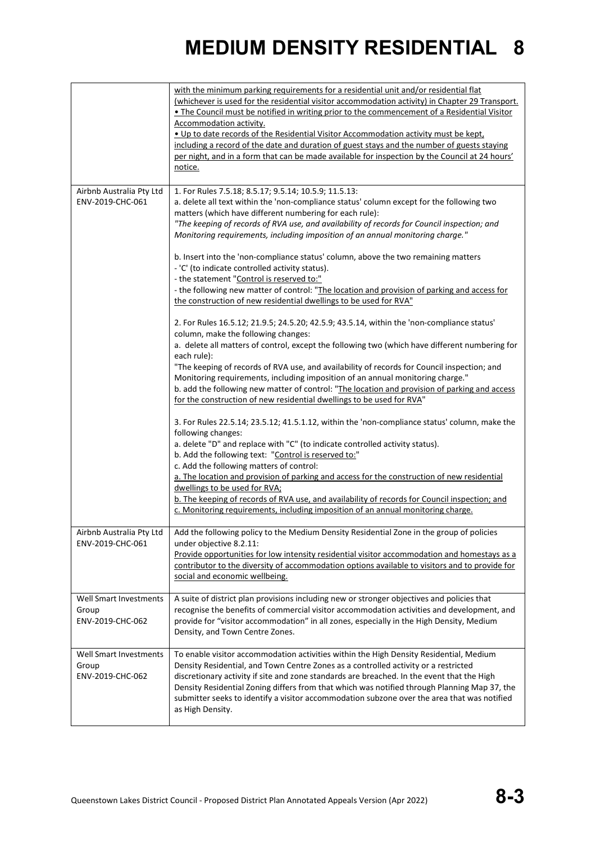|                                                            | with the minimum parking requirements for a residential unit and/or residential flat<br>(whichever is used for the residential visitor accommodation activity) in Chapter 29 Transport.<br>. The Council must be notified in writing prior to the commencement of a Residential Visitor<br>Accommodation activity.<br>. Up to date records of the Residential Visitor Accommodation activity must be kept,<br>including a record of the date and duration of guest stays and the number of guests staying<br>per night, and in a form that can be made available for inspection by the Council at 24 hours'<br>notice.       |
|------------------------------------------------------------|------------------------------------------------------------------------------------------------------------------------------------------------------------------------------------------------------------------------------------------------------------------------------------------------------------------------------------------------------------------------------------------------------------------------------------------------------------------------------------------------------------------------------------------------------------------------------------------------------------------------------|
| Airbnb Australia Pty Ltd<br>ENV-2019-CHC-061               | 1. For Rules 7.5.18; 8.5.17; 9.5.14; 10.5.9; 11.5.13:<br>a. delete all text within the 'non-compliance status' column except for the following two<br>matters (which have different numbering for each rule):<br>"The keeping of records of RVA use, and availability of records for Council inspection; and<br>Monitoring requirements, including imposition of an annual monitoring charge."                                                                                                                                                                                                                               |
|                                                            | b. Insert into the 'non-compliance status' column, above the two remaining matters<br>- 'C' (to indicate controlled activity status).<br>- the statement "Control is reserved to:"<br>- the following new matter of control: "The location and provision of parking and access for<br>the construction of new residential dwellings to be used for RVA"                                                                                                                                                                                                                                                                      |
|                                                            | 2. For Rules 16.5.12; 21.9.5; 24.5.20; 42.5.9; 43.5.14, within the 'non-compliance status'<br>column, make the following changes:<br>a. delete all matters of control, except the following two (which have different numbering for<br>each rule):<br>"The keeping of records of RVA use, and availability of records for Council inspection; and<br>Monitoring requirements, including imposition of an annual monitoring charge."<br>b. add the following new matter of control: "The location and provision of parking and access<br>for the construction of new residential dwellings to be used for RVA"                |
|                                                            | 3. For Rules 22.5.14; 23.5.12; 41.5.1.12, within the 'non-compliance status' column, make the<br>following changes:<br>a. delete "D" and replace with "C" (to indicate controlled activity status).<br>b. Add the following text: "Control is reserved to:"<br>c. Add the following matters of control:<br>a. The location and provision of parking and access for the construction of new residential<br>dwellings to be used for RVA;<br>b. The keeping of records of RVA use, and availability of records for Council inspection; and<br>c. Monitoring requirements, including imposition of an annual monitoring charge. |
| ENV-2019-CHC-061                                           | Airbnb Australia Pty Ltd   Add the following policy to the Medium Density Residential Zone in the group of policies<br>under objective 8.2.11:<br>Provide opportunities for low intensity residential visitor accommodation and homestays as a<br>contributor to the diversity of accommodation options available to visitors and to provide for<br>social and economic wellbeing.                                                                                                                                                                                                                                           |
| Well Smart Investments<br>Group<br>ENV-2019-CHC-062        | A suite of district plan provisions including new or stronger objectives and policies that<br>recognise the benefits of commercial visitor accommodation activities and development, and<br>provide for "visitor accommodation" in all zones, especially in the High Density, Medium<br>Density, and Town Centre Zones.                                                                                                                                                                                                                                                                                                      |
| <b>Well Smart Investments</b><br>Group<br>ENV-2019-CHC-062 | To enable visitor accommodation activities within the High Density Residential, Medium<br>Density Residential, and Town Centre Zones as a controlled activity or a restricted<br>discretionary activity if site and zone standards are breached. In the event that the High<br>Density Residential Zoning differs from that which was notified through Planning Map 37, the<br>submitter seeks to identify a visitor accommodation subzone over the area that was notified<br>as High Density.                                                                                                                               |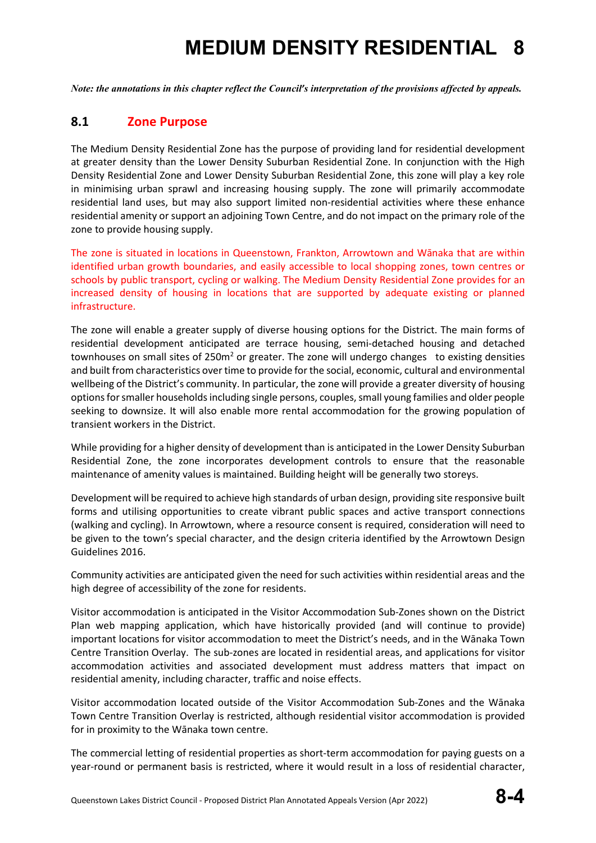*Note: the annotations in this chapter reflect the Council's interpretation of the provisions affected by appeals.*

#### **8.1 Zone Purpose**

The Medium Density Residential Zone has the purpose of providing land for residential development at greater density than the Lower Density Suburban Residential Zone. In conjunction with the High Density Residential Zone and Lower Density Suburban Residential Zone, this zone will play a key role in minimising urban sprawl and increasing housing supply. The zone will primarily accommodate residential land uses, but may also support limited non-residential activities where these enhance residential amenity or support an adjoining Town Centre, and do not impact on the primary role of the zone to provide housing supply.

The zone is situated in locations in Queenstown, Frankton, Arrowtown and Wānaka that are within identified urban growth boundaries, and easily accessible to local shopping zones, town centres or schools by public transport, cycling or walking. The Medium Density Residential Zone provides for an increased density of housing in locations that are supported by adequate existing or planned infrastructure.

The zone will enable a greater supply of diverse housing options for the District. The main forms of residential development anticipated are terrace housing, semi-detached housing and detached townhouses on small sites of 250m<sup>2</sup> or greater. The zone will undergo changes to existing densities and built from characteristics over time to provide for the social, economic, cultural and environmental wellbeing of the District's community. In particular, the zone will provide a greater diversity of housing options for smaller households including single persons, couples, small young families and older people seeking to downsize. It will also enable more rental accommodation for the growing population of transient workers in the District.

While providing for a higher density of development than is anticipated in the Lower Density Suburban Residential Zone, the zone incorporates development controls to ensure that the reasonable maintenance of amenity values is maintained. Building height will be generally two storeys.

Development will be required to achieve high standards of urban design, providing site responsive built forms and utilising opportunities to create vibrant public spaces and active transport connections (walking and cycling). In Arrowtown, where a resource consent is required, consideration will need to be given to the town's special character, and the design criteria identified by the Arrowtown Design Guidelines 2016.

Community activities are anticipated given the need for such activities within residential areas and the high degree of accessibility of the zone for residents.

Visitor accommodation is anticipated in the Visitor Accommodation Sub-Zones shown on the District Plan web mapping application, which have historically provided (and will continue to provide) important locations for visitor accommodation to meet the District's needs, and in the Wānaka Town Centre Transition Overlay. The sub-zones are located in residential areas, and applications for visitor accommodation activities and associated development must address matters that impact on residential amenity, including character, traffic and noise effects.

Visitor accommodation located outside of the Visitor Accommodation Sub-Zones and the Wānaka Town Centre Transition Overlay is restricted, although residential visitor accommodation is provided for in proximity to the Wānaka town centre.

The commercial letting of residential properties as short-term accommodation for paying guests on a year-round or permanent basis is restricted, where it would result in a loss of residential character,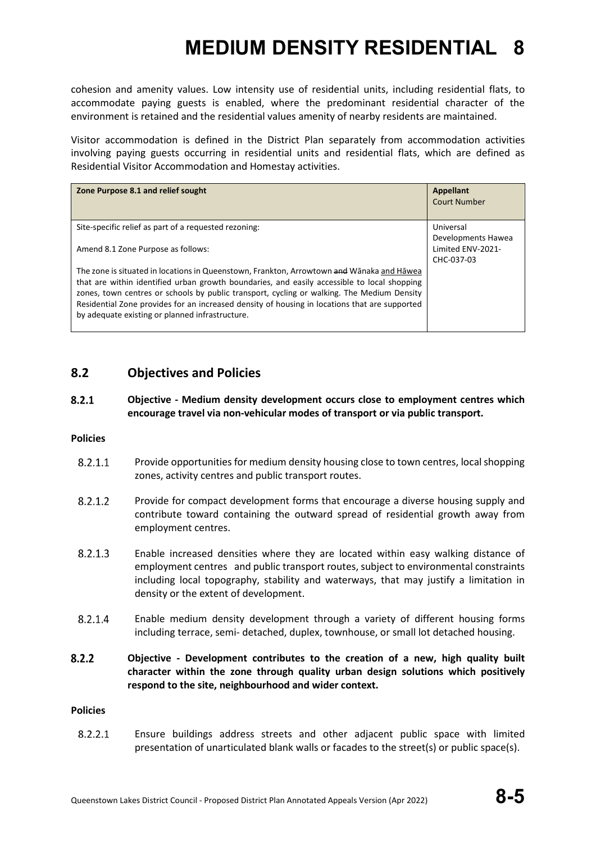cohesion and amenity values. Low intensity use of residential units, including residential flats, to accommodate paying guests is enabled, where the predominant residential character of the environment is retained and the residential values amenity of nearby residents are maintained.

Visitor accommodation is defined in the District Plan separately from accommodation activities involving paying guests occurring in residential units and residential flats, which are defined as Residential Visitor Accommodation and Homestay activities.

| Zone Purpose 8.1 and relief sought                                                                                                                                                                                                                                                                                                                                                                                                         | <b>Appellant</b><br><b>Court Number</b>                            |
|--------------------------------------------------------------------------------------------------------------------------------------------------------------------------------------------------------------------------------------------------------------------------------------------------------------------------------------------------------------------------------------------------------------------------------------------|--------------------------------------------------------------------|
| Site-specific relief as part of a requested rezoning:<br>Amend 8.1 Zone Purpose as follows:                                                                                                                                                                                                                                                                                                                                                | Universal<br>Developments Hawea<br>Limited ENV-2021-<br>CHC-037-03 |
| The zone is situated in locations in Queenstown, Frankton, Arrowtown and Wānaka and Hāwea<br>that are within identified urban growth boundaries, and easily accessible to local shopping<br>zones, town centres or schools by public transport, cycling or walking. The Medium Density<br>Residential Zone provides for an increased density of housing in locations that are supported<br>by adequate existing or planned infrastructure. |                                                                    |

#### **8.2 Objectives and Policies**

#### $8.2.1$ **Objective - Medium density development occurs close to employment centres which encourage travel via non-vehicular modes of transport or via public transport.**

#### **Policies**

- $8.2.1.1$ Provide opportunities for medium density housing close to town centres, local shopping zones, activity centres and public transport routes.
- $8.2.1.2$ Provide for compact development forms that encourage a diverse housing supply and contribute toward containing the outward spread of residential growth away from employment centres.
- 8.2.1.3 Enable increased densities where they are located within easy walking distance of employment centres and public transport routes, subject to environmental constraints including local topography, stability and waterways, that may justify a limitation in density or the extent of development.
- 8.2.1.4 Enable medium density development through a variety of different housing forms including terrace, semi- detached, duplex, townhouse, or small lot detached housing.
- $8.2.2$ **Objective - Development contributes to the creation of a new, high quality built character within the zone through quality urban design solutions which positively respond to the site, neighbourhood and wider context.**

#### **Policies**

 $8.2.2.1$ Ensure buildings address streets and other adjacent public space with limited presentation of unarticulated blank walls or facades to the street(s) or public space(s).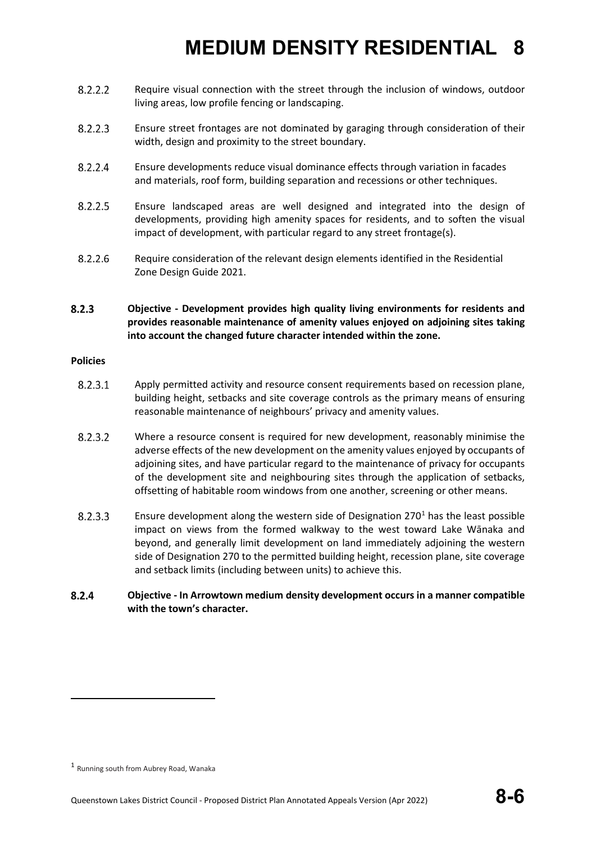- 8.2.2.2 Require visual connection with the street through the inclusion of windows, outdoor living areas, low profile fencing or landscaping.
- $8.2.2.3$ Ensure street frontages are not dominated by garaging through consideration of their width, design and proximity to the street boundary.
- $8.2.2.4$ Ensure developments reduce visual dominance effects through variation in facades and materials, roof form, building separation and recessions or other techniques.
- 8.2.2.5 Ensure landscaped areas are well designed and integrated into the design of developments, providing high amenity spaces for residents, and to soften the visual impact of development, with particular regard to any street frontage(s).
- 8.2.2.6 Require consideration of the relevant design elements identified in the Residential Zone Design Guide 2021.
- $8.2.3$ **Objective - Development provides high quality living environments for residents and provides reasonable maintenance of amenity values enjoyed on adjoining sites taking into account the changed future character intended within the zone.**

#### **Policies**

- 8.2.3.1 Apply permitted activity and resource consent requirements based on recession plane, building height, setbacks and site coverage controls as the primary means of ensuring reasonable maintenance of neighbours' privacy and amenity values.
- 8.2.3.2 Where a resource consent is required for new development, reasonably minimise the adverse effects of the new development on the amenity values enjoyed by occupants of adjoining sites, and have particular regard to the maintenance of privacy for occupants of the development site and neighbouring sites through the application of setbacks, offsetting of habitable room windows from one another, screening or other means.
- $8.2.3.3$ Ensure development along the western side of Designation  $270<sup>1</sup>$  $270<sup>1</sup>$  $270<sup>1</sup>$  has the least possible impact on views from the formed walkway to the west toward Lake Wānaka and beyond, and generally limit development on land immediately adjoining the western side of Designation 270 to the permitted building height, recession plane, site coverage and setback limits (including between units) to achieve this.
- 8.2.4 **Objective - In Arrowtown medium density development occurs in a manner compatible with the town's character.**

<span id="page-5-0"></span><sup>1</sup> Running south from Aubrey Road, Wanaka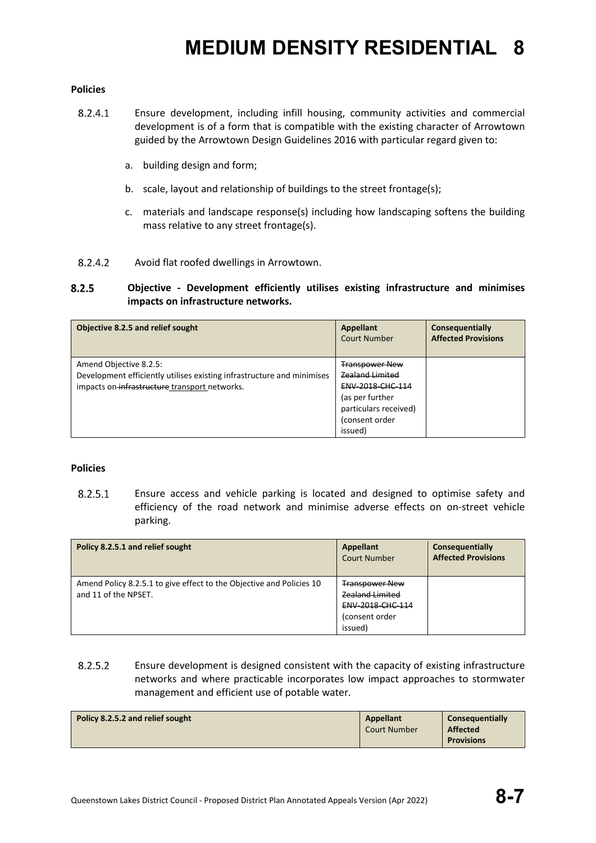#### **Policies**

- 8.2.4.1 Ensure development, including infill housing, community activities and commercial development is of a form that is compatible with the existing character of Arrowtown guided by the Arrowtown Design Guidelines 2016 with particular regard given to:
	- a. building design and form;
	- b. scale, layout and relationship of buildings to the street frontage(s);
	- c. materials and landscape response(s) including how landscaping softens the building mass relative to any street frontage(s).
- 8.2.4.2 Avoid flat roofed dwellings in Arrowtown.

#### **Objective - Development efficiently utilises existing infrastructure and minimises**   $8.2.5$ **impacts on infrastructure networks.**

| Objective 8.2.5 and relief sought                                                                                                                 | Appellant<br><b>Court Number</b>                                                                                                             | Consequentially<br><b>Affected Provisions</b> |
|---------------------------------------------------------------------------------------------------------------------------------------------------|----------------------------------------------------------------------------------------------------------------------------------------------|-----------------------------------------------|
| Amend Objective 8.2.5:<br>Development efficiently utilises existing infrastructure and minimises<br>impacts on infrastructure transport networks. | <b>Transpower New</b><br><b>Zealand Limited</b><br>ENV-2018-CHC-114<br>(as per further<br>particulars received)<br>(consent order<br>issued) |                                               |

#### **Policies**

 $8.2.5.1$ Ensure access and vehicle parking is located and designed to optimise safety and efficiency of the road network and minimise adverse effects on on-street vehicle parking.

| Policy 8.2.5.1 and relief sought                                                             | Appellant<br><b>Court Number</b>                                                                        | Consequentially<br><b>Affected Provisions</b> |
|----------------------------------------------------------------------------------------------|---------------------------------------------------------------------------------------------------------|-----------------------------------------------|
| Amend Policy 8.2.5.1 to give effect to the Objective and Policies 10<br>and 11 of the NPSET. | <b>Transpower New</b><br><b>Zealand Limited</b><br><b>ENV 2018 CHC 114</b><br>(consent order<br>issued) |                                               |

 $8.2.5.2$ Ensure development is designed consistent with the capacity of existing infrastructure networks and where practicable incorporates low impact approaches to stormwater management and efficient use of potable water.

| Policy 8.2.5.2 and relief sought | Appellant<br><b>Court Number</b> | Consequentially<br><b>Affected</b> |
|----------------------------------|----------------------------------|------------------------------------|
|                                  |                                  | <b>Provisions</b>                  |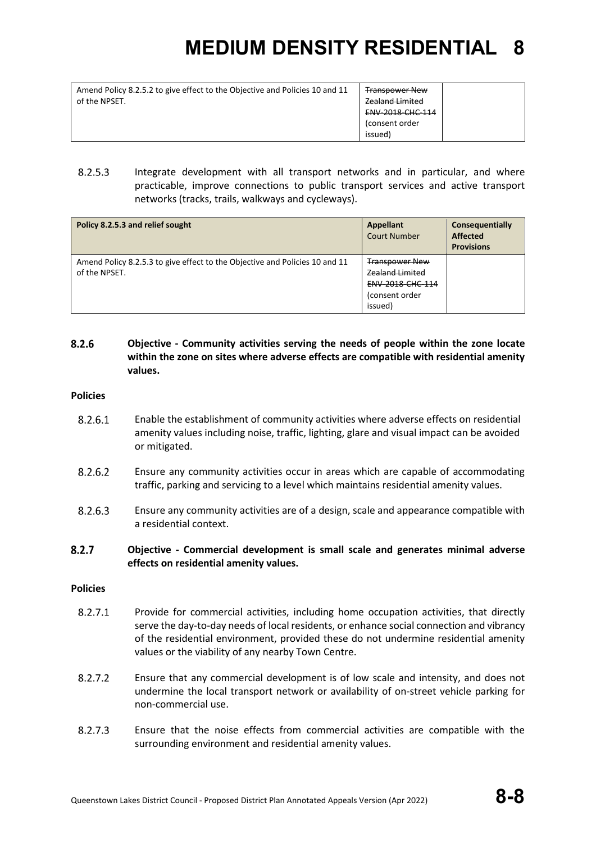| Amend Policy 8.2.5.2 to give effect to the Objective and Policies 10 and 11 | <b>Transpower New</b>  |
|-----------------------------------------------------------------------------|------------------------|
| of the NPSET.                                                               | <b>Zealand Limited</b> |
|                                                                             | ENV-2018-CHC-114       |
|                                                                             | (consent order         |
|                                                                             | (issued                |
|                                                                             |                        |

8.2.5.3 Integrate development with all transport networks and in particular, and where practicable, improve connections to public transport services and active transport networks (tracks, trails, walkways and cycleways).

| Policy 8.2.5.3 and relief sought                                                             | Appellant<br><b>Court Number</b>                                                          | Consequentially<br><b>Affected</b><br><b>Provisions</b> |
|----------------------------------------------------------------------------------------------|-------------------------------------------------------------------------------------------|---------------------------------------------------------|
| Amend Policy 8.2.5.3 to give effect to the Objective and Policies 10 and 11<br>of the NPSET. | <b>Transpower New</b><br>Zealand Limited<br>ENV-2018-CHC-114<br>(consent order<br>issued) |                                                         |

#### 8.2.6 **Objective - Community activities serving the needs of people within the zone locate within the zone on sites where adverse effects are compatible with residential amenity values.**

#### **Policies**

- 8.2.6.1 Enable the establishment of community activities where adverse effects on residential amenity values including noise, traffic, lighting, glare and visual impact can be avoided or mitigated.
- 8.2.6.2 Ensure any community activities occur in areas which are capable of accommodating traffic, parking and servicing to a level which maintains residential amenity values.
- 8.2.6.3 Ensure any community activities are of a design, scale and appearance compatible with a residential context.

#### $8.2.7$ **Objective - Commercial development is small scale and generates minimal adverse effects on residential amenity values.**

#### **Policies**

- $8.2.7.1$ Provide for commercial activities, including home occupation activities, that directly serve the day-to-day needs of local residents, or enhance social connection and vibrancy of the residential environment, provided these do not undermine residential amenity values or the viability of any nearby Town Centre.
- 8.2.7.2 Ensure that any commercial development is of low scale and intensity, and does not undermine the local transport network or availability of on-street vehicle parking for non-commercial use.
- $8.2.7.3$ Ensure that the noise effects from commercial activities are compatible with the surrounding environment and residential amenity values.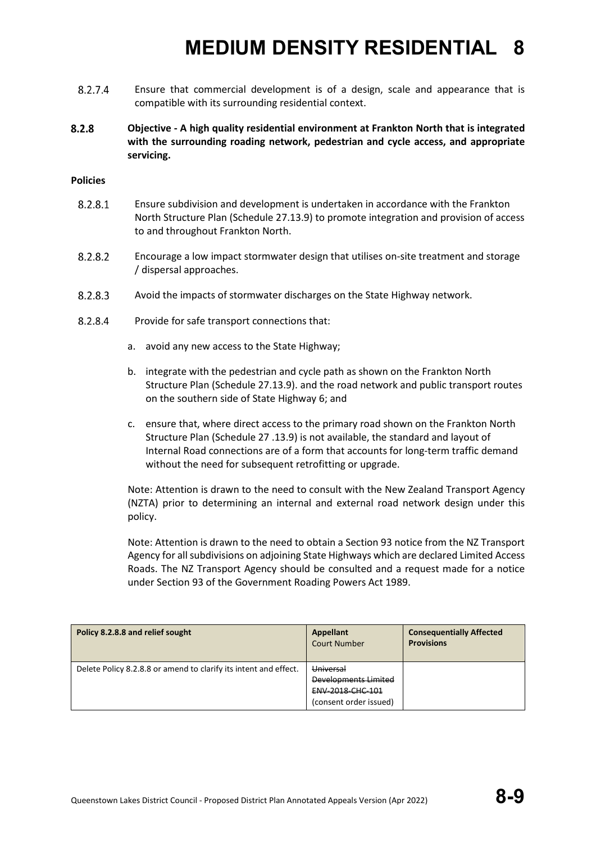- 8.2.7.4 Ensure that commercial development is of a design, scale and appearance that is compatible with its surrounding residential context.
- $8.2.8$ **Objective - A high quality residential environment at Frankton North that is integrated with the surrounding roading network, pedestrian and cycle access, and appropriate servicing.**

#### **Policies**

- 8.2.8.1 Ensure subdivision and development is undertaken in accordance with the Frankton North Structure Plan (Schedule 27.13.9) to promote integration and provision of access to and throughout Frankton North.
- 8.2.8.2 Encourage a low impact stormwater design that utilises on-site treatment and storage / dispersal approaches.
- 8.2.8.3 Avoid the impacts of stormwater discharges on the State Highway network.
- 8.2.8.4 Provide for safe transport connections that:
	- a. avoid any new access to the State Highway;
	- b. integrate with the pedestrian and cycle path as shown on the Frankton North Structure Plan (Schedule 27.13.9). and the road network and public transport routes on the southern side of State Highway 6; and
	- c. ensure that, where direct access to the primary road shown on the Frankton North Structure Plan (Schedule 27 .13.9) is not available, the standard and layout of Internal Road connections are of a form that accounts for long-term traffic demand without the need for subsequent retrofitting or upgrade.

Note: Attention is drawn to the need to consult with the New Zealand Transport Agency (NZTA) prior to determining an internal and external road network design under this policy.

Note: Attention is drawn to the need to obtain a Section 93 notice from the NZ Transport Agency for all subdivisions on adjoining State Highways which are declared Limited Access Roads. The NZ Transport Agency should be consulted and a request made for a notice under Section 93 of the Government Roading Powers Act 1989.

| Policy 8.2.8.8 and relief sought                                 | Appellant<br><b>Court Number</b>                                                       | <b>Consequentially Affected</b><br><b>Provisions</b> |
|------------------------------------------------------------------|----------------------------------------------------------------------------------------|------------------------------------------------------|
| Delete Policy 8.2.8.8 or amend to clarify its intent and effect. | Universal<br>Developments Limited<br><b>ENV 2018 CHC 101</b><br>(consent order issued) |                                                      |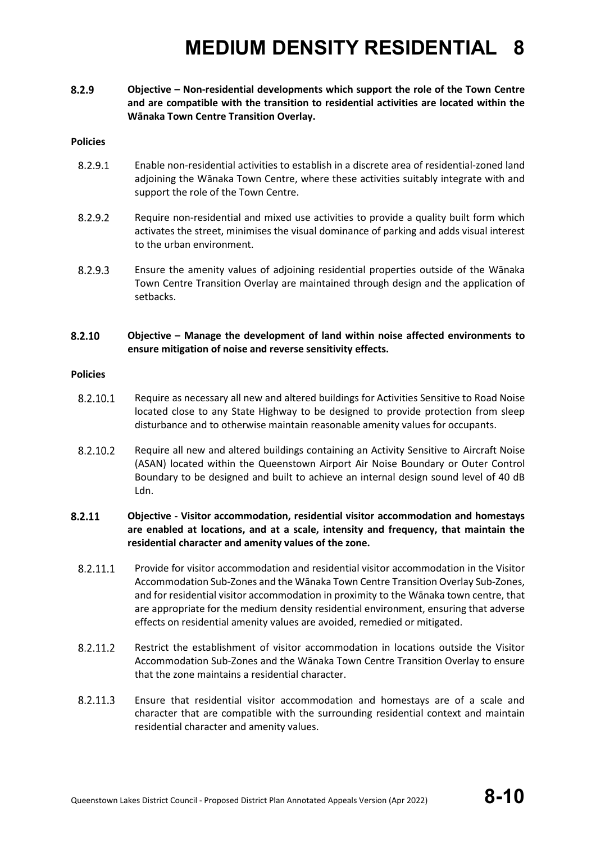8.2.9 **Objective – Non-residential developments which support the role of the Town Centre and are compatible with the transition to residential activities are located within the Wānaka Town Centre Transition Overlay.**

#### **Policies**

- 8.2.9.1 Enable non-residential activities to establish in a discrete area of residential-zoned land adjoining the Wānaka Town Centre, where these activities suitably integrate with and support the role of the Town Centre.
- 8.2.9.2 Require non-residential and mixed use activities to provide a quality built form which activates the street, minimises the visual dominance of parking and adds visual interest to the urban environment.
- 8.2.9.3 Ensure the amenity values of adjoining residential properties outside of the Wānaka Town Centre Transition Overlay are maintained through design and the application of setbacks.

#### 8.2.10 **Objective – Manage the development of land within noise affected environments to ensure mitigation of noise and reverse sensitivity effects.**

#### **Policies**

- 8.2.10.1 Require as necessary all new and altered buildings for Activities Sensitive to Road Noise located close to any State Highway to be designed to provide protection from sleep disturbance and to otherwise maintain reasonable amenity values for occupants.
- 8.2.10.2 Require all new and altered buildings containing an Activity Sensitive to Aircraft Noise (ASAN) located within the Queenstown Airport Air Noise Boundary or Outer Control Boundary to be designed and built to achieve an internal design sound level of 40 dB Ldn.

#### 8.2.11 **Objective - Visitor accommodation, residential visitor accommodation and homestays are enabled at locations, and at a scale, intensity and frequency, that maintain the residential character and amenity values of the zone.**

- 8.2.11.1 Provide for visitor accommodation and residential visitor accommodation in the Visitor Accommodation Sub-Zones and the Wānaka Town Centre Transition Overlay Sub-Zones, and for residential visitor accommodation in proximity to the Wānaka town centre, that are appropriate for the medium density residential environment, ensuring that adverse effects on residential amenity values are avoided, remedied or mitigated.
- 8.2.11.2 Restrict the establishment of visitor accommodation in locations outside the Visitor Accommodation Sub-Zones and the Wānaka Town Centre Transition Overlay to ensure that the zone maintains a residential character.
- 8.2.11.3 Ensure that residential visitor accommodation and homestays are of a scale and character that are compatible with the surrounding residential context and maintain residential character and amenity values.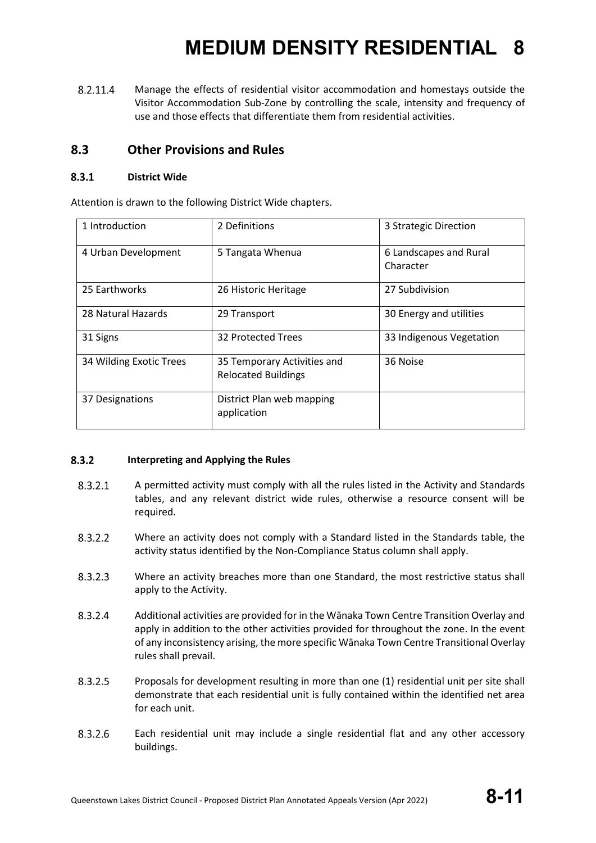8.2.11.4 Manage the effects of residential visitor accommodation and homestays outside the Visitor Accommodation Sub-Zone by controlling the scale, intensity and frequency of use and those effects that differentiate them from residential activities.

#### **8.3 Other Provisions and Rules**

#### $8.3.1$ **District Wide**

Attention is drawn to the following District Wide chapters.

| 1 Introduction          | 2 Definitions                                             | 3 Strategic Direction               |
|-------------------------|-----------------------------------------------------------|-------------------------------------|
| 4 Urban Development     | 5 Tangata Whenua                                          | 6 Landscapes and Rural<br>Character |
| 25 Earthworks           | 26 Historic Heritage                                      | 27 Subdivision                      |
| 28 Natural Hazards      | 29 Transport                                              | 30 Energy and utilities             |
| 31 Signs                | 32 Protected Trees                                        | 33 Indigenous Vegetation            |
| 34 Wilding Exotic Trees | 35 Temporary Activities and<br><b>Relocated Buildings</b> | 36 Noise                            |
| 37 Designations         | District Plan web mapping<br>application                  |                                     |

#### $8.3.2$ **Interpreting and Applying the Rules**

- 8.3.2.1 A permitted activity must comply with all the rules listed in the Activity and Standards tables, and any relevant district wide rules, otherwise a resource consent will be required.
- 8.3.2.2 Where an activity does not comply with a Standard listed in the Standards table, the activity status identified by the Non-Compliance Status column shall apply.
- 8.3.2.3 Where an activity breaches more than one Standard, the most restrictive status shall apply to the Activity.
- 8.3.2.4 Additional activities are provided for in the Wānaka Town Centre Transition Overlay and apply in addition to the other activities provided for throughout the zone. In the event of any inconsistency arising, the more specific Wānaka Town Centre Transitional Overlay rules shall prevail.
- 8.3.2.5 Proposals for development resulting in more than one (1) residential unit per site shall demonstrate that each residential unit is fully contained within the identified net area for each unit.
- 8.3.2.6 Each residential unit may include a single residential flat and any other accessory buildings.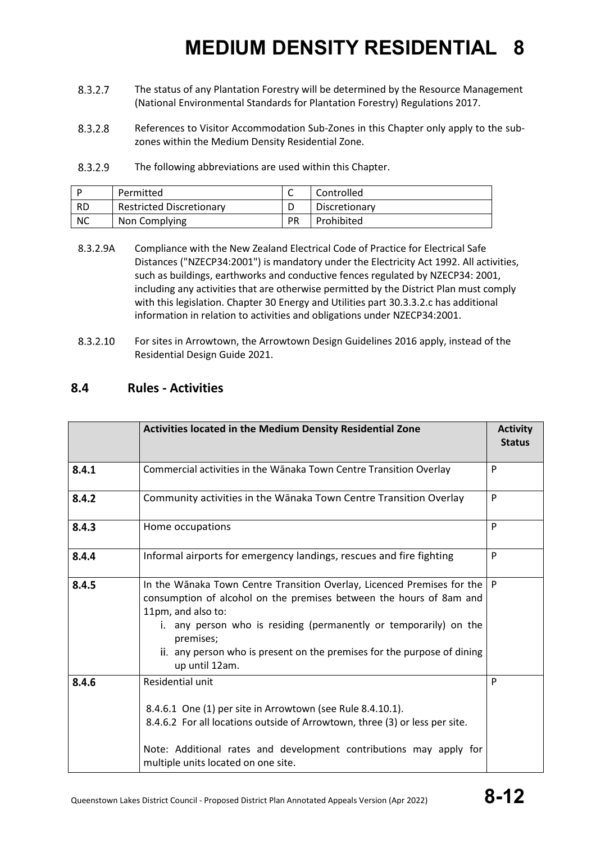- 8.3.2.7 The status of any Plantation Forestry will be determined by the Resource Management (National Environmental Standards for Plantation Forestry) Regulations 2017.
- 8.3.2.8 References to Visitor Accommodation Sub-Zones in this Chapter only apply to the subzones within the Medium Density Residential Zone.
- 8.3.2.9 The following abbreviations are used within this Chapter.

|           | Permitted                       |           | Controlled    |
|-----------|---------------------------------|-----------|---------------|
| - RD      | <b>Restricted Discretionary</b> |           | Discretionary |
| <b>NC</b> | Non Complying                   | <b>PR</b> | Prohibited    |

- 8.3.2.9A Compliance with the New Zealand Electrical Code of Practice for Electrical Safe Distances ("NZECP34:2001") is mandatory under the Electricity Act 1992. All activities, such as buildings, earthworks and conductive fences regulated by NZECP34: 2001, including any activities that are otherwise permitted by the District Plan must comply with this legislation. Chapter 30 Energy and Utilities part 30.3.3.2.c has additional information in relation to activities and obligations under NZECP34:2001.
- 8.3.2.10 For sites in Arrowtown, the Arrowtown Design Guidelines 2016 apply, instead of the Residential Design Guide 2021.

#### **8.4 Rules - Activities**

|       | Activities located in the Medium Density Residential Zone                                                                                                                                                                                                                                                                                           | <b>Activity</b><br><b>Status</b> |
|-------|-----------------------------------------------------------------------------------------------------------------------------------------------------------------------------------------------------------------------------------------------------------------------------------------------------------------------------------------------------|----------------------------------|
| 8.4.1 | Commercial activities in the Wānaka Town Centre Transition Overlay                                                                                                                                                                                                                                                                                  | P                                |
| 8.4.2 | Community activities in the Wānaka Town Centre Transition Overlay                                                                                                                                                                                                                                                                                   | P                                |
| 8.4.3 | Home occupations                                                                                                                                                                                                                                                                                                                                    | P                                |
| 8.4.4 | Informal airports for emergency landings, rescues and fire fighting                                                                                                                                                                                                                                                                                 | P                                |
| 8.4.5 | In the Wānaka Town Centre Transition Overlay, Licenced Premises for the<br>consumption of alcohol on the premises between the hours of 8am and<br>11pm, and also to:<br>i. any person who is residing (permanently or temporarily) on the<br>premises;<br>ii. any person who is present on the premises for the purpose of dining<br>up until 12am. | P                                |
| 8.4.6 | Residential unit<br>8.4.6.1 One (1) per site in Arrowtown (see Rule 8.4.10.1).<br>8.4.6.2 For all locations outside of Arrowtown, three (3) or less per site.<br>Note: Additional rates and development contributions may apply for<br>multiple units located on one site.                                                                          | P                                |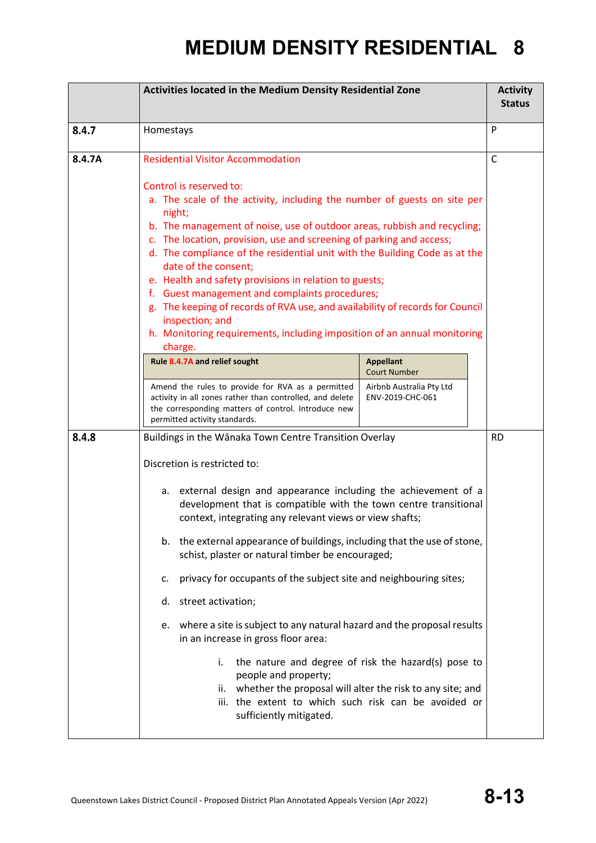|                                                                                                                                                                                                                                                                                 | Activities located in the Medium Density Residential Zone                                                                                                                                                                                                                                                                                                                                                                                                                                                                                                                                                                                                                                                                                                                                                                                                                                                                       |                          |              |
|---------------------------------------------------------------------------------------------------------------------------------------------------------------------------------------------------------------------------------------------------------------------------------|---------------------------------------------------------------------------------------------------------------------------------------------------------------------------------------------------------------------------------------------------------------------------------------------------------------------------------------------------------------------------------------------------------------------------------------------------------------------------------------------------------------------------------------------------------------------------------------------------------------------------------------------------------------------------------------------------------------------------------------------------------------------------------------------------------------------------------------------------------------------------------------------------------------------------------|--------------------------|--------------|
| 8.4.7                                                                                                                                                                                                                                                                           | Homestays                                                                                                                                                                                                                                                                                                                                                                                                                                                                                                                                                                                                                                                                                                                                                                                                                                                                                                                       |                          |              |
| 8.4.7A                                                                                                                                                                                                                                                                          | <b>Residential Visitor Accommodation</b><br>Control is reserved to:<br>a. The scale of the activity, including the number of guests on site per<br>night;<br>b. The management of noise, use of outdoor areas, rubbish and recycling;<br>c. The location, provision, use and screening of parking and access;<br>d. The compliance of the residential unit with the Building Code as at the<br>date of the consent;<br>e. Health and safety provisions in relation to guests;<br>f. Guest management and complaints procedures;<br>g. The keeping of records of RVA use, and availability of records for Council<br>inspection; and<br>h. Monitoring requirements, including imposition of an annual monitoring                                                                                                                                                                                                                 |                          | $\mathsf{C}$ |
| charge.<br>Rule 8.4.7A and relief sought<br><b>Appellant</b><br><b>Court Number</b><br>Amend the rules to provide for RVA as a permitted<br>activity in all zones rather than controlled, and delete<br>ENV-2019-CHC-061<br>the corresponding matters of control. Introduce new |                                                                                                                                                                                                                                                                                                                                                                                                                                                                                                                                                                                                                                                                                                                                                                                                                                                                                                                                 | Airbnb Australia Pty Ltd |              |
| 8.4.8                                                                                                                                                                                                                                                                           | permitted activity standards.<br>Buildings in the Wānaka Town Centre Transition Overlay<br>Discretion is restricted to:<br>a. external design and appearance including the achievement of a<br>development that is compatible with the town centre transitional<br>context, integrating any relevant views or view shafts;<br>b. the external appearance of buildings, including that the use of stone,<br>schist, plaster or natural timber be encouraged;<br>privacy for occupants of the subject site and neighbouring sites;<br>c.<br>d. street activation;<br>e. where a site is subject to any natural hazard and the proposal results<br>in an increase in gross floor area:<br>i.<br>the nature and degree of risk the hazard(s) pose to<br>people and property;<br>whether the proposal will alter the risk to any site; and<br>ii.<br>iii. the extent to which such risk can be avoided or<br>sufficiently mitigated. |                          | <b>RD</b>    |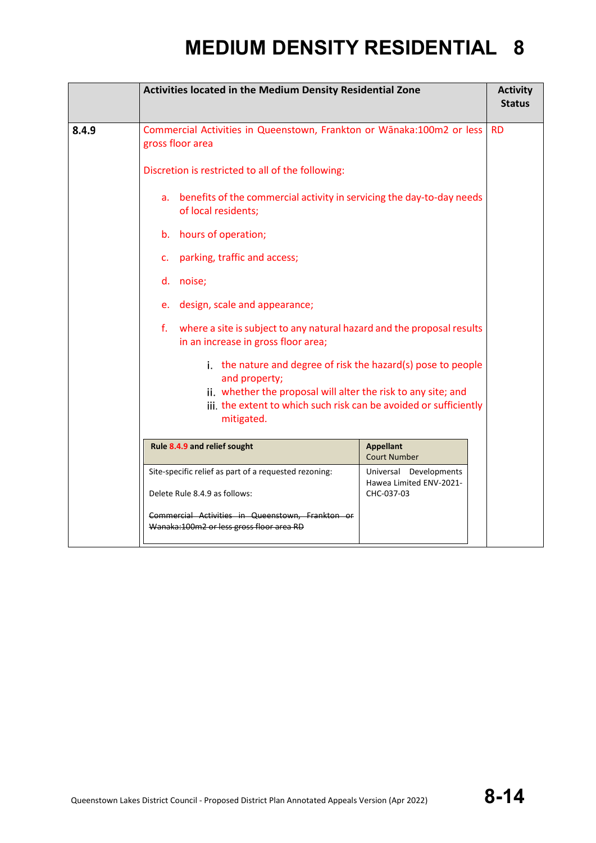|       | Activities located in the Medium Density Residential Zone                                                                          |                                                   |           |  |  |
|-------|------------------------------------------------------------------------------------------------------------------------------------|---------------------------------------------------|-----------|--|--|
| 8.4.9 | Commercial Activities in Queenstown, Frankton or Wānaka:100m2 or less<br>gross floor area                                          |                                                   | <b>RD</b> |  |  |
|       | Discretion is restricted to all of the following:                                                                                  |                                                   |           |  |  |
|       | a. benefits of the commercial activity in servicing the day-to-day needs<br>of local residents;                                    |                                                   |           |  |  |
|       | b. hours of operation;                                                                                                             |                                                   |           |  |  |
|       | c. parking, traffic and access;                                                                                                    |                                                   |           |  |  |
|       | d. noise;                                                                                                                          |                                                   |           |  |  |
|       | e. design, scale and appearance;                                                                                                   |                                                   |           |  |  |
|       | f. where a site is subject to any natural hazard and the proposal results<br>in an increase in gross floor area;                   |                                                   |           |  |  |
|       | i. the nature and degree of risk the hazard(s) pose to people<br>and property;                                                     |                                                   |           |  |  |
|       | ii. whether the proposal will alter the risk to any site; and<br>iii. the extent to which such risk can be avoided or sufficiently |                                                   |           |  |  |
|       | mitigated.                                                                                                                         |                                                   |           |  |  |
|       | Rule 8.4.9 and relief sought<br><b>Appellant</b><br><b>Court Number</b>                                                            |                                                   |           |  |  |
|       | Site-specific relief as part of a requested rezoning:                                                                              | Universal Developments<br>Hawea Limited ENV-2021- |           |  |  |
|       | Delete Rule 8.4.9 as follows:<br>CHC-037-03                                                                                        |                                                   |           |  |  |
|       | Commercial Activities in Queenstown, Frankton or<br>Wanaka:100m2 or less gross floor area RD                                       |                                                   |           |  |  |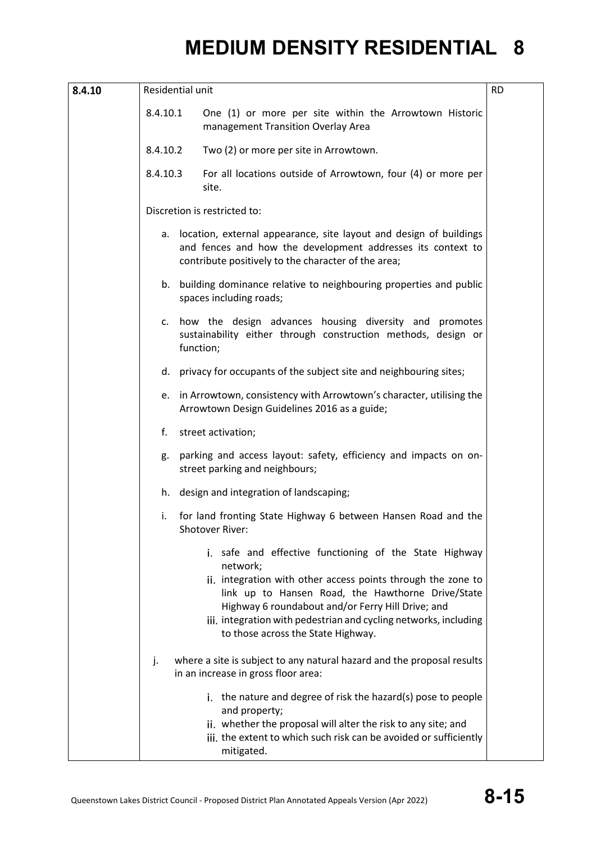| 8.4.10 | Residential unit |                                                                                                                                                                                                                                                                                                                                                        | <b>RD</b> |
|--------|------------------|--------------------------------------------------------------------------------------------------------------------------------------------------------------------------------------------------------------------------------------------------------------------------------------------------------------------------------------------------------|-----------|
|        | 8.4.10.1         | One (1) or more per site within the Arrowtown Historic<br>management Transition Overlay Area                                                                                                                                                                                                                                                           |           |
|        | 8.4.10.2         | Two (2) or more per site in Arrowtown.                                                                                                                                                                                                                                                                                                                 |           |
|        | 8.4.10.3         | For all locations outside of Arrowtown, four (4) or more per<br>site.                                                                                                                                                                                                                                                                                  |           |
|        |                  | Discretion is restricted to:                                                                                                                                                                                                                                                                                                                           |           |
|        | а.               | location, external appearance, site layout and design of buildings<br>and fences and how the development addresses its context to<br>contribute positively to the character of the area;                                                                                                                                                               |           |
|        |                  | b. building dominance relative to neighbouring properties and public<br>spaces including roads;                                                                                                                                                                                                                                                        |           |
|        |                  | c. how the design advances housing diversity and promotes<br>sustainability either through construction methods, design or<br>function;                                                                                                                                                                                                                |           |
|        | d.               | privacy for occupants of the subject site and neighbouring sites;                                                                                                                                                                                                                                                                                      |           |
|        | e.               | in Arrowtown, consistency with Arrowtown's character, utilising the<br>Arrowtown Design Guidelines 2016 as a guide;                                                                                                                                                                                                                                    |           |
| f.     |                  | street activation;                                                                                                                                                                                                                                                                                                                                     |           |
|        | g.               | parking and access layout: safety, efficiency and impacts on on-<br>street parking and neighbours;                                                                                                                                                                                                                                                     |           |
|        |                  | h. design and integration of landscaping;                                                                                                                                                                                                                                                                                                              |           |
|        | i.               | for land fronting State Highway 6 between Hansen Road and the<br>Shotover River:                                                                                                                                                                                                                                                                       |           |
|        |                  | i. safe and effective functioning of the State Highway<br>network;<br>ii. integration with other access points through the zone to<br>link up to Hansen Road, the Hawthorne Drive/State<br>Highway 6 roundabout and/or Ferry Hill Drive; and<br>iii. integration with pedestrian and cycling networks, including<br>to those across the State Highway. |           |
|        | j.               | where a site is subject to any natural hazard and the proposal results<br>in an increase in gross floor area:                                                                                                                                                                                                                                          |           |
|        |                  | i. the nature and degree of risk the hazard(s) pose to people<br>and property;<br>ii. whether the proposal will alter the risk to any site; and<br>iii. the extent to which such risk can be avoided or sufficiently<br>mitigated.                                                                                                                     |           |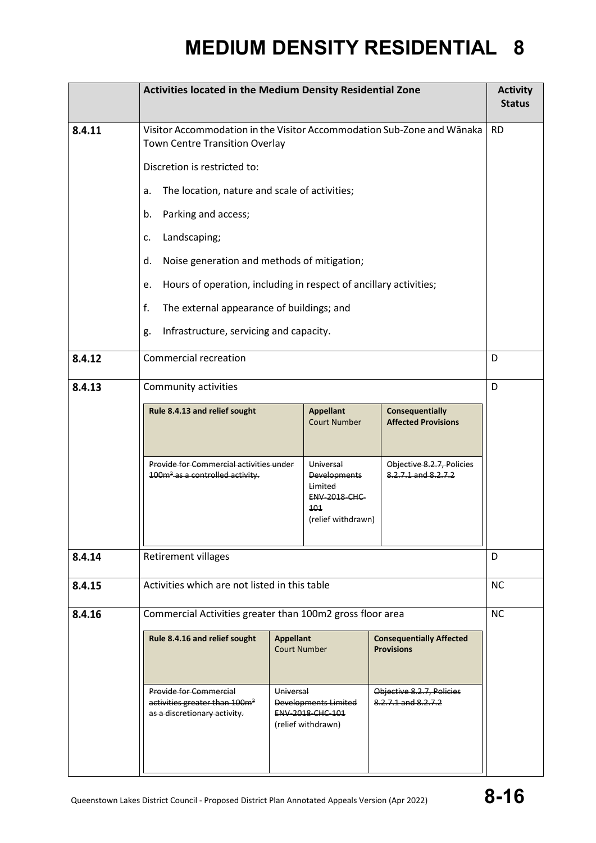|                                                                                                                                                                                                                         | Activities located in the Medium Density Residential Zone                                                       |                           |                                                                                                  | <b>Activity</b><br><b>Status</b>                     |           |
|-------------------------------------------------------------------------------------------------------------------------------------------------------------------------------------------------------------------------|-----------------------------------------------------------------------------------------------------------------|---------------------------|--------------------------------------------------------------------------------------------------|------------------------------------------------------|-----------|
| 8.4.11                                                                                                                                                                                                                  | Visitor Accommodation in the Visitor Accommodation Sub-Zone and Wānaka<br><b>Town Centre Transition Overlay</b> |                           |                                                                                                  | <b>RD</b>                                            |           |
|                                                                                                                                                                                                                         | Discretion is restricted to:                                                                                    |                           |                                                                                                  |                                                      |           |
|                                                                                                                                                                                                                         | The location, nature and scale of activities;<br>a.                                                             |                           |                                                                                                  |                                                      |           |
|                                                                                                                                                                                                                         | Parking and access;<br>b.                                                                                       |                           |                                                                                                  |                                                      |           |
|                                                                                                                                                                                                                         | Landscaping;<br>c.                                                                                              |                           |                                                                                                  |                                                      |           |
|                                                                                                                                                                                                                         | Noise generation and methods of mitigation;<br>d.                                                               |                           |                                                                                                  |                                                      |           |
|                                                                                                                                                                                                                         | Hours of operation, including in respect of ancillary activities;<br>e.                                         |                           |                                                                                                  |                                                      |           |
|                                                                                                                                                                                                                         | f.<br>The external appearance of buildings; and                                                                 |                           |                                                                                                  |                                                      |           |
|                                                                                                                                                                                                                         | Infrastructure, servicing and capacity.<br>g.                                                                   |                           |                                                                                                  |                                                      |           |
| 8.4.12                                                                                                                                                                                                                  | <b>Commercial recreation</b>                                                                                    |                           | D                                                                                                |                                                      |           |
| 8.4.13                                                                                                                                                                                                                  | Community activities                                                                                            |                           |                                                                                                  |                                                      | D         |
|                                                                                                                                                                                                                         | Rule 8.4.13 and relief sought                                                                                   |                           | <b>Appellant</b><br><b>Court Number</b>                                                          | <b>Consequentially</b><br><b>Affected Provisions</b> |           |
|                                                                                                                                                                                                                         | Provide for Commercial activities under<br>100m <sup>2</sup> as a controlled activity.                          |                           | Universal<br><b>Developments</b><br>Limited<br><b>ENV-2018-CHC-</b><br>101<br>(relief withdrawn) | Objective 8.2.7, Policies<br>8.2.7.1 and 8.2.7.2     |           |
| 8.4.14                                                                                                                                                                                                                  | <b>Retirement villages</b>                                                                                      |                           |                                                                                                  |                                                      | D         |
| 8.4.15                                                                                                                                                                                                                  | Activities which are not listed in this table                                                                   |                           |                                                                                                  | <b>NC</b>                                            |           |
| 8.4.16                                                                                                                                                                                                                  | Commercial Activities greater than 100m2 gross floor area                                                       |                           |                                                                                                  |                                                      | <b>NC</b> |
|                                                                                                                                                                                                                         | Rule 8.4.16 and relief sought<br><b>Appellant</b><br><b>Court Number</b>                                        |                           |                                                                                                  | <b>Consequentially Affected</b><br><b>Provisions</b> |           |
| <b>Provide for Commercial</b><br>Universal<br>activities greater than 100m <sup>2</sup><br>8.2.7.1 and 8.2.7.2<br>Developments Limited<br>as a discretionary activity.<br><b>ENV 2018 CHC 101</b><br>(relief withdrawn) |                                                                                                                 | Objective 8.2.7, Policies |                                                                                                  |                                                      |           |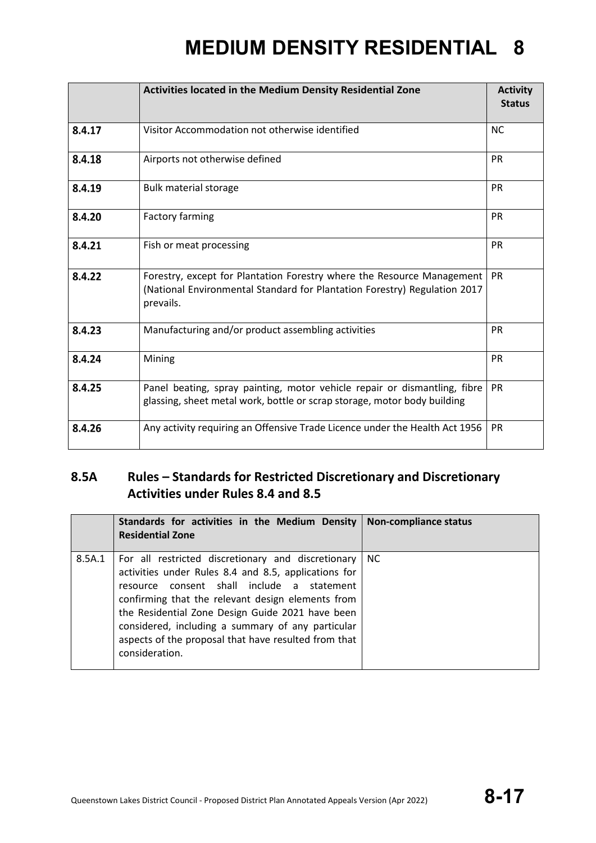|        | <b>Activities located in the Medium Density Residential Zone</b>                                                                                                 | <b>Activity</b><br><b>Status</b> |
|--------|------------------------------------------------------------------------------------------------------------------------------------------------------------------|----------------------------------|
| 8.4.17 | Visitor Accommodation not otherwise identified                                                                                                                   | <b>NC</b>                        |
| 8.4.18 | Airports not otherwise defined                                                                                                                                   | <b>PR</b>                        |
| 8.4.19 | <b>Bulk material storage</b>                                                                                                                                     | <b>PR</b>                        |
| 8.4.20 | <b>Factory farming</b>                                                                                                                                           | <b>PR</b>                        |
| 8.4.21 | Fish or meat processing                                                                                                                                          | <b>PR</b>                        |
| 8.4.22 | Forestry, except for Plantation Forestry where the Resource Management<br>(National Environmental Standard for Plantation Forestry) Regulation 2017<br>prevails. | <b>PR</b>                        |
| 8.4.23 | Manufacturing and/or product assembling activities                                                                                                               | <b>PR</b>                        |
| 8.4.24 | Mining                                                                                                                                                           | <b>PR</b>                        |
| 8.4.25 | Panel beating, spray painting, motor vehicle repair or dismantling, fibre<br>glassing, sheet metal work, bottle or scrap storage, motor body building            | <b>PR</b>                        |
| 8.4.26 | Any activity requiring an Offensive Trade Licence under the Health Act 1956                                                                                      | PR                               |

#### **8.5A Rules – Standards for Restricted Discretionary and Discretionary Activities under Rules 8.4 and 8.5**

|        | Standards for activities in the Medium Density $\vert$ Non-compliance status<br><b>Residential Zone</b>                                                                                                                                                                                                                                                                                            |    |
|--------|----------------------------------------------------------------------------------------------------------------------------------------------------------------------------------------------------------------------------------------------------------------------------------------------------------------------------------------------------------------------------------------------------|----|
| 8.5A.1 | For all restricted discretionary and discretionary  <br>activities under Rules 8.4 and 8.5, applications for<br>resource consent shall include a statement<br>confirming that the relevant design elements from<br>the Residential Zone Design Guide 2021 have been<br>considered, including a summary of any particular<br>aspects of the proposal that have resulted from that<br>consideration. | NC |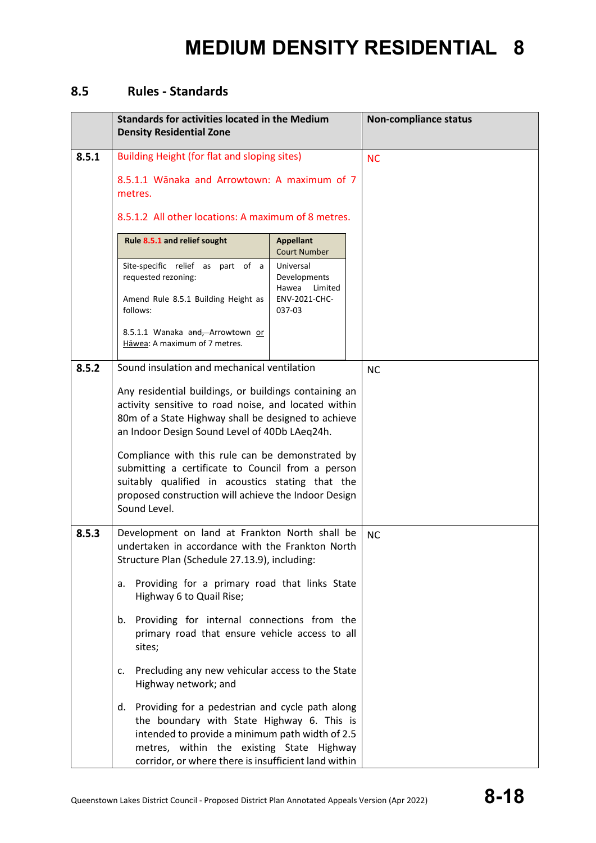#### **8.5 Rules - Standards**

|       | <b>Standards for activities located in the Medium</b><br><b>Density Residential Zone</b>                                                                                                                                                                                                                                                                                                                                                                                                                  |                                                                          | <b>Non-compliance status</b> |
|-------|-----------------------------------------------------------------------------------------------------------------------------------------------------------------------------------------------------------------------------------------------------------------------------------------------------------------------------------------------------------------------------------------------------------------------------------------------------------------------------------------------------------|--------------------------------------------------------------------------|------------------------------|
| 8.5.1 | Building Height (for flat and sloping sites)<br>8.5.1.1 Wānaka and Arrowtown: A maximum of 7<br>metres.<br>8.5.1.2 All other locations: A maximum of 8 metres.                                                                                                                                                                                                                                                                                                                                            | <b>NC</b>                                                                |                              |
|       | Rule 8.5.1 and relief sought                                                                                                                                                                                                                                                                                                                                                                                                                                                                              | <b>Appellant</b><br><b>Court Number</b>                                  |                              |
|       | Site-specific relief as part of a<br>requested rezoning:<br>Amend Rule 8.5.1 Building Height as<br>follows:<br>8.5.1.1 Wanaka and, Arrowtown or                                                                                                                                                                                                                                                                                                                                                           | Universal<br>Developments<br>Hawea<br>Limited<br>ENV-2021-CHC-<br>037-03 |                              |
|       | Hāwea: A maximum of 7 metres.                                                                                                                                                                                                                                                                                                                                                                                                                                                                             |                                                                          |                              |
| 8.5.2 | Sound insulation and mechanical ventilation<br>Any residential buildings, or buildings containing an<br>activity sensitive to road noise, and located within<br>80m of a State Highway shall be designed to achieve<br>an Indoor Design Sound Level of 40Db LAeq24h.<br>Compliance with this rule can be demonstrated by<br>submitting a certificate to Council from a person<br>suitably qualified in acoustics stating that the<br>proposed construction will achieve the Indoor Design<br>Sound Level. | <b>NC</b>                                                                |                              |
| 8.5.3 | Development on land at Frankton North shall be<br>undertaken in accordance with the Frankton North<br>Structure Plan (Schedule 27.13.9), including:<br>Providing for a primary road that links State<br>а.<br>Highway 6 to Quail Rise;<br>b. Providing for internal connections from the<br>primary road that ensure vehicle access to all<br>sites;                                                                                                                                                      | <b>NC</b>                                                                |                              |
|       | Precluding any new vehicular access to the State<br>c.<br>Highway network; and<br>d. Providing for a pedestrian and cycle path along<br>the boundary with State Highway 6. This is<br>intended to provide a minimum path width of 2.5<br>metres, within the existing State Highway<br>corridor, or where there is insufficient land within                                                                                                                                                                |                                                                          |                              |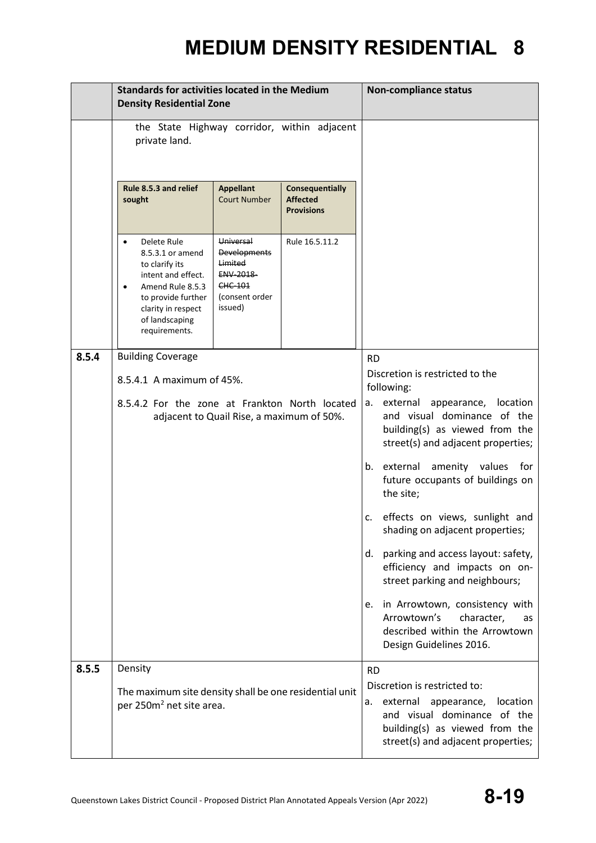|       | <b>Standards for activities located in the Medium</b><br><b>Density Residential Zone</b>                                                                                   |                                                                                                         | <b>Non-compliance status</b>                                   |                                                                                                                                                                                               |
|-------|----------------------------------------------------------------------------------------------------------------------------------------------------------------------------|---------------------------------------------------------------------------------------------------------|----------------------------------------------------------------|-----------------------------------------------------------------------------------------------------------------------------------------------------------------------------------------------|
|       | the State Highway corridor, within adjacent<br>private land.                                                                                                               |                                                                                                         |                                                                |                                                                                                                                                                                               |
|       | Rule 8.5.3 and relief<br>sought                                                                                                                                            | <b>Appellant</b><br><b>Court Number</b>                                                                 | <b>Consequentially</b><br><b>Affected</b><br><b>Provisions</b> |                                                                                                                                                                                               |
|       | Delete Rule<br>8.5.3.1 or amend<br>to clarify its<br>intent and effect.<br>Amend Rule 8.5.3<br>to provide further<br>clarity in respect<br>of landscaping<br>requirements. | Universal<br><b>Developments</b><br><b>Limited</b><br>ENV-2018-<br>CHC-101<br>(consent order<br>issued) | Rule 16.5.11.2                                                 |                                                                                                                                                                                               |
| 8.5.4 | <b>Building Coverage</b>                                                                                                                                                   |                                                                                                         |                                                                | <b>RD</b>                                                                                                                                                                                     |
|       | 8.5.4.1 A maximum of 45%.                                                                                                                                                  |                                                                                                         |                                                                | Discretion is restricted to the<br>following:                                                                                                                                                 |
|       | 8.5.4.2 For the zone at Frankton North located<br>adjacent to Quail Rise, a maximum of 50%.                                                                                |                                                                                                         |                                                                | appearance, location<br>a. external<br>and visual dominance of the<br>building(s) as viewed from the<br>street(s) and adjacent properties;                                                    |
|       |                                                                                                                                                                            |                                                                                                         |                                                                | b. external amenity values for<br>future occupants of buildings on<br>the site;                                                                                                               |
|       |                                                                                                                                                                            |                                                                                                         |                                                                | c. effects on views, sunlight and<br>shading on adjacent properties;                                                                                                                          |
|       |                                                                                                                                                                            |                                                                                                         |                                                                | parking and access layout: safety,<br>d.<br>efficiency and impacts on on-<br>street parking and neighbours;                                                                                   |
|       |                                                                                                                                                                            |                                                                                                         |                                                                | in Arrowtown, consistency with<br>е.<br>Arrowtown's<br>character,<br>as<br>described within the Arrowtown<br>Design Guidelines 2016.                                                          |
| 8.5.5 | Density<br>The maximum site density shall be one residential unit<br>per 250m <sup>2</sup> net site area.                                                                  |                                                                                                         |                                                                | <b>RD</b><br>Discretion is restricted to:<br>location<br>external<br>appearance,<br>а.<br>and visual dominance of the<br>building(s) as viewed from the<br>street(s) and adjacent properties; |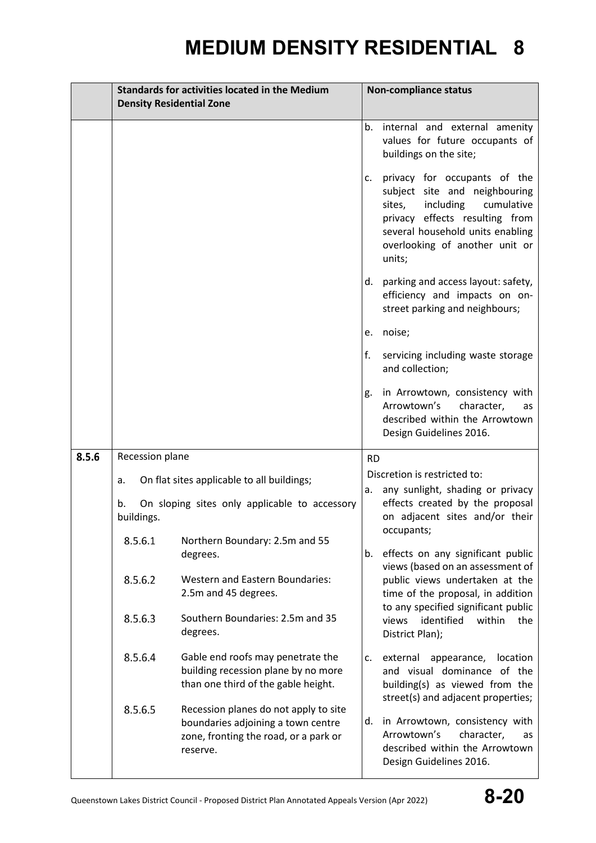|       | <b>Standards for activities located in the Medium</b>                                                                      |                                                                                                                                  |                                                                                                                                      | <b>Non-compliance status</b>                                                                                                                                                                                                                                                                                      |  |  |
|-------|----------------------------------------------------------------------------------------------------------------------------|----------------------------------------------------------------------------------------------------------------------------------|--------------------------------------------------------------------------------------------------------------------------------------|-------------------------------------------------------------------------------------------------------------------------------------------------------------------------------------------------------------------------------------------------------------------------------------------------------------------|--|--|
|       | <b>Density Residential Zone</b>                                                                                            |                                                                                                                                  |                                                                                                                                      |                                                                                                                                                                                                                                                                                                                   |  |  |
|       |                                                                                                                            |                                                                                                                                  | b.<br>c.                                                                                                                             | internal and external amenity<br>values for future occupants of<br>buildings on the site;<br>privacy for occupants of the<br>subject site and neighbouring<br>including<br>sites,<br>cumulative<br>privacy effects resulting from<br>several household units enabling<br>overlooking of another unit or<br>units; |  |  |
|       |                                                                                                                            |                                                                                                                                  | d.                                                                                                                                   | parking and access layout: safety,<br>efficiency and impacts on on-<br>street parking and neighbours;                                                                                                                                                                                                             |  |  |
|       |                                                                                                                            |                                                                                                                                  | e.                                                                                                                                   | noise;                                                                                                                                                                                                                                                                                                            |  |  |
|       |                                                                                                                            |                                                                                                                                  | f.                                                                                                                                   | servicing including waste storage<br>and collection;                                                                                                                                                                                                                                                              |  |  |
|       |                                                                                                                            |                                                                                                                                  | g.                                                                                                                                   | in Arrowtown, consistency with<br>character,<br>Arrowtown's<br>as<br>described within the Arrowtown<br>Design Guidelines 2016.                                                                                                                                                                                    |  |  |
| 8.5.6 | Recession plane                                                                                                            |                                                                                                                                  | <b>RD</b>                                                                                                                            |                                                                                                                                                                                                                                                                                                                   |  |  |
|       |                                                                                                                            |                                                                                                                                  |                                                                                                                                      | Discretion is restricted to:                                                                                                                                                                                                                                                                                      |  |  |
|       | On flat sites applicable to all buildings;<br>a.<br>On sloping sites only applicable to accessory<br>b.<br>buildings.      |                                                                                                                                  | а.                                                                                                                                   | any sunlight, shading or privacy<br>effects created by the proposal<br>on adjacent sites and/or their<br>occupants;                                                                                                                                                                                               |  |  |
|       | 8.5.6.1                                                                                                                    | Northern Boundary: 2.5m and 55<br>degrees.                                                                                       | b.                                                                                                                                   | effects on any significant public                                                                                                                                                                                                                                                                                 |  |  |
|       | 8.5.6.2                                                                                                                    | <b>Western and Eastern Boundaries:</b><br>2.5m and 45 degrees.                                                                   |                                                                                                                                      | views (based on an assessment of<br>public views undertaken at the<br>time of the proposal, in addition<br>to any specified significant public                                                                                                                                                                    |  |  |
|       | 8.5.6.3                                                                                                                    | Southern Boundaries: 2.5m and 35<br>degrees.                                                                                     |                                                                                                                                      | identified<br>within<br>views<br>the<br>District Plan);                                                                                                                                                                                                                                                           |  |  |
|       | 8.5.6.4<br>Gable end roofs may penetrate the<br>building recession plane by no more<br>than one third of the gable height. | c.                                                                                                                               | external appearance, location<br>and visual dominance of the<br>building(s) as viewed from the<br>street(s) and adjacent properties; |                                                                                                                                                                                                                                                                                                                   |  |  |
|       | 8.5.6.5                                                                                                                    | Recession planes do not apply to site<br>boundaries adjoining a town centre<br>zone, fronting the road, or a park or<br>reserve. | d.                                                                                                                                   | in Arrowtown, consistency with<br>Arrowtown's<br>character,<br>as<br>described within the Arrowtown<br>Design Guidelines 2016.                                                                                                                                                                                    |  |  |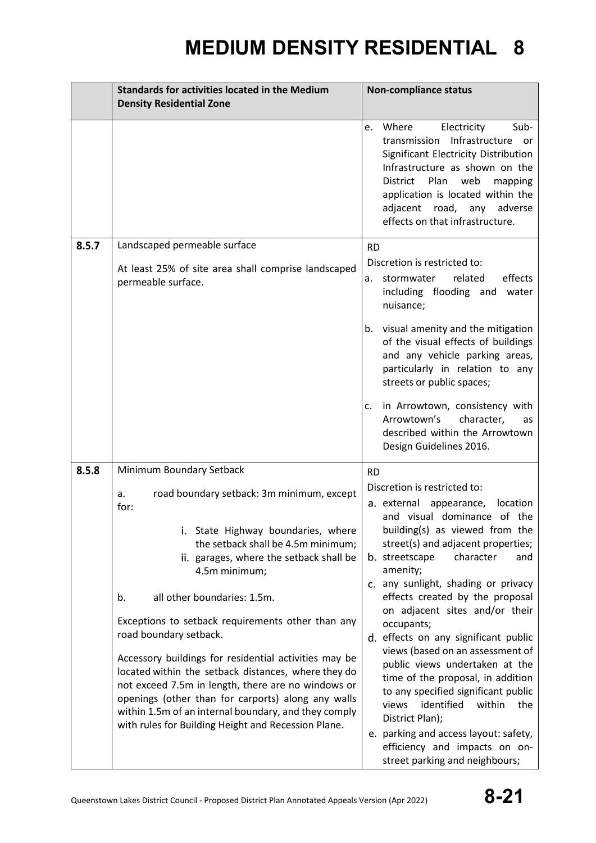|       | <b>Standards for activities located in the Medium</b>                                                                                                                                                                                                                                                                                                                                                                                                                                                                                                                                                                                                                                      | <b>Non-compliance status</b>                                                                                                                                                                                                                                                                                                                                                                                                                                                                                                                                                                                                                                                                                                      |  |  |
|-------|--------------------------------------------------------------------------------------------------------------------------------------------------------------------------------------------------------------------------------------------------------------------------------------------------------------------------------------------------------------------------------------------------------------------------------------------------------------------------------------------------------------------------------------------------------------------------------------------------------------------------------------------------------------------------------------------|-----------------------------------------------------------------------------------------------------------------------------------------------------------------------------------------------------------------------------------------------------------------------------------------------------------------------------------------------------------------------------------------------------------------------------------------------------------------------------------------------------------------------------------------------------------------------------------------------------------------------------------------------------------------------------------------------------------------------------------|--|--|
|       | <b>Density Residential Zone</b>                                                                                                                                                                                                                                                                                                                                                                                                                                                                                                                                                                                                                                                            |                                                                                                                                                                                                                                                                                                                                                                                                                                                                                                                                                                                                                                                                                                                                   |  |  |
|       |                                                                                                                                                                                                                                                                                                                                                                                                                                                                                                                                                                                                                                                                                            | Where<br>Electricity<br>Sub-<br>e.<br>transmission Infrastructure or<br>Significant Electricity Distribution<br>Infrastructure as shown on the<br>Plan<br>District<br>web<br>mapping<br>application is located within the<br>adjacent road, any adverse<br>effects on that infrastructure.                                                                                                                                                                                                                                                                                                                                                                                                                                        |  |  |
| 8.5.7 | Landscaped permeable surface<br>At least 25% of site area shall comprise landscaped<br>permeable surface.                                                                                                                                                                                                                                                                                                                                                                                                                                                                                                                                                                                  | <b>RD</b><br>Discretion is restricted to:<br>related<br>effects<br>a. stormwater<br>including flooding and water<br>nuisance;<br>b. visual amenity and the mitigation<br>of the visual effects of buildings<br>and any vehicle parking areas,<br>particularly in relation to any<br>streets or public spaces;<br>in Arrowtown, consistency with<br>c.<br>Arrowtown's<br>character,<br>as<br>described within the Arrowtown                                                                                                                                                                                                                                                                                                        |  |  |
|       |                                                                                                                                                                                                                                                                                                                                                                                                                                                                                                                                                                                                                                                                                            | Design Guidelines 2016.                                                                                                                                                                                                                                                                                                                                                                                                                                                                                                                                                                                                                                                                                                           |  |  |
| 8.5.8 | Minimum Boundary Setback<br>road boundary setback: 3m minimum, except<br>a.<br>for:<br>i. State Highway boundaries, where<br>the setback shall be 4.5m minimum;<br>ii. garages, where the setback shall be<br>4.5m minimum;<br>all other boundaries: 1.5m.<br>b.<br>Exceptions to setback requirements other than any<br>road boundary setback.<br>Accessory buildings for residential activities may be<br>located within the setback distances, where they do<br>not exceed 7.5m in length, there are no windows or<br>openings (other than for carports) along any walls<br>within 1.5m of an internal boundary, and they comply<br>with rules for Building Height and Recession Plane. | <b>RD</b><br>Discretion is restricted to:<br>a. external appearance, location<br>and visual dominance of the<br>building(s) as viewed from the<br>street(s) and adjacent properties;<br>b. streetscape<br>character<br>and<br>amenity;<br>c. any sunlight, shading or privacy<br>effects created by the proposal<br>on adjacent sites and/or their<br>occupants;<br>d. effects on any significant public<br>views (based on an assessment of<br>public views undertaken at the<br>time of the proposal, in addition<br>to any specified significant public<br>identified<br>views<br>within<br>the<br>District Plan);<br>e. parking and access layout: safety,<br>efficiency and impacts on on-<br>street parking and neighbours; |  |  |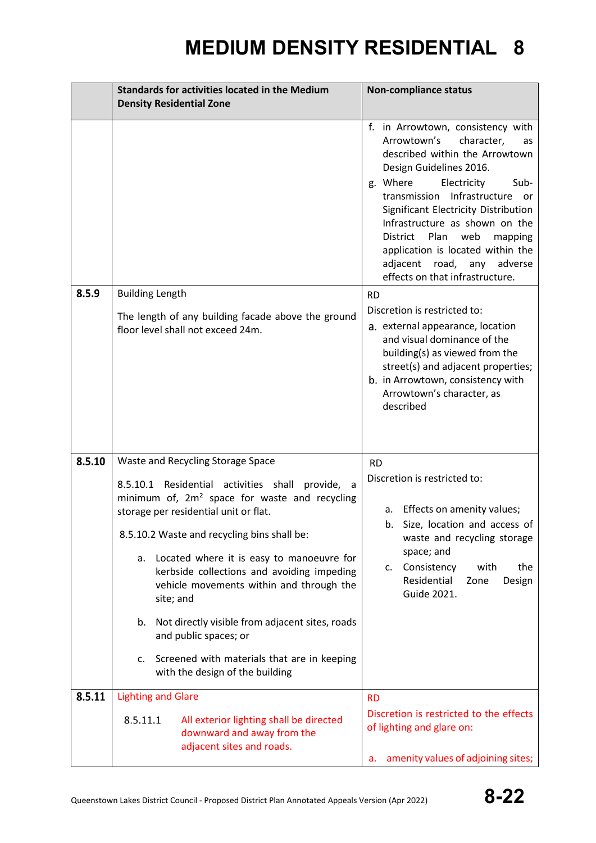|        | <b>Standards for activities located in the Medium</b>                                                                                                                                                                                                                                                                                                                                                                                                                                                                                                                 | <b>Non-compliance status</b>                                                                                                                                                                                                                                                                                                                                                                                                 |
|--------|-----------------------------------------------------------------------------------------------------------------------------------------------------------------------------------------------------------------------------------------------------------------------------------------------------------------------------------------------------------------------------------------------------------------------------------------------------------------------------------------------------------------------------------------------------------------------|------------------------------------------------------------------------------------------------------------------------------------------------------------------------------------------------------------------------------------------------------------------------------------------------------------------------------------------------------------------------------------------------------------------------------|
|        | <b>Density Residential Zone</b>                                                                                                                                                                                                                                                                                                                                                                                                                                                                                                                                       |                                                                                                                                                                                                                                                                                                                                                                                                                              |
|        |                                                                                                                                                                                                                                                                                                                                                                                                                                                                                                                                                                       | f. in Arrowtown, consistency with<br>Arrowtown's<br>character,<br>as<br>described within the Arrowtown<br>Design Guidelines 2016.<br>Electricity<br>g. Where<br>Sub-<br>transmission Infrastructure or<br>Significant Electricity Distribution<br>Infrastructure as shown on the<br>web<br>District<br>Plan<br>mapping<br>application is located within the<br>adjacent road, any adverse<br>effects on that infrastructure. |
| 8.5.9  | <b>Building Length</b><br>The length of any building facade above the ground<br>floor level shall not exceed 24m.                                                                                                                                                                                                                                                                                                                                                                                                                                                     | <b>RD</b><br>Discretion is restricted to:<br>a. external appearance, location<br>and visual dominance of the<br>building(s) as viewed from the<br>street(s) and adjacent properties;<br>b. in Arrowtown, consistency with<br>Arrowtown's character, as<br>described                                                                                                                                                          |
| 8.5.10 | Waste and Recycling Storage Space<br>8.5.10.1 Residential activities shall provide, a<br>minimum of, 2m <sup>2</sup> space for waste and recycling<br>storage per residential unit or flat.<br>8.5.10.2 Waste and recycling bins shall be:<br>a. Located where it is easy to manoeuvre for<br>kerbside collections and avoiding impeding<br>vehicle movements within and through the<br>site; and<br>b. Not directly visible from adjacent sites, roads<br>and public spaces; or<br>c. Screened with materials that are in keeping<br>with the design of the building | <b>RD</b><br>Discretion is restricted to:<br>a. Effects on amenity values;<br>b. Size, location and access of<br>waste and recycling storage<br>space; and<br>c. Consistency<br>with<br>the<br>Residential<br>Zone<br>Design<br><b>Guide 2021.</b>                                                                                                                                                                           |
| 8.5.11 | <b>Lighting and Glare</b><br>8.5.11.1<br>All exterior lighting shall be directed<br>downward and away from the<br>adjacent sites and roads.                                                                                                                                                                                                                                                                                                                                                                                                                           | <b>RD</b><br>Discretion is restricted to the effects<br>of lighting and glare on:                                                                                                                                                                                                                                                                                                                                            |
|        |                                                                                                                                                                                                                                                                                                                                                                                                                                                                                                                                                                       | amenity values of adjoining sites;<br>a.                                                                                                                                                                                                                                                                                                                                                                                     |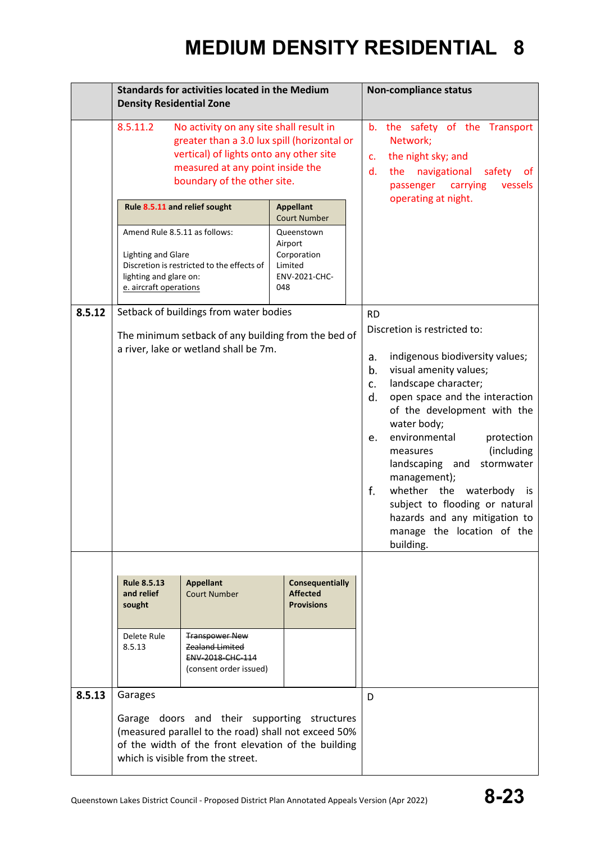|        | <b>Standards for activities located in the Medium</b><br><b>Density Residential Zone</b>                                                                                                                    |                                                                                                                                                                                                                                                    | <b>Non-compliance status</b>                                                                                              |                                                                                                                                                                                                                                                                                                                                                                                                                                                                                                           |
|--------|-------------------------------------------------------------------------------------------------------------------------------------------------------------------------------------------------------------|----------------------------------------------------------------------------------------------------------------------------------------------------------------------------------------------------------------------------------------------------|---------------------------------------------------------------------------------------------------------------------------|-----------------------------------------------------------------------------------------------------------------------------------------------------------------------------------------------------------------------------------------------------------------------------------------------------------------------------------------------------------------------------------------------------------------------------------------------------------------------------------------------------------|
|        | 8.5.11.2<br>Rule 8.5.11 and relief sought<br>Amend Rule 8.5.11 as follows:<br><b>Lighting and Glare</b><br>lighting and glare on:<br>e. aircraft operations                                                 | No activity on any site shall result in<br>greater than a 3.0 lux spill (horizontal or<br>vertical) of lights onto any other site<br>measured at any point inside the<br>boundary of the other site.<br>Discretion is restricted to the effects of | <b>Appellant</b><br><b>Court Number</b><br>Queenstown<br>Airport<br>Corporation<br>Limited<br><b>ENV-2021-CHC-</b><br>048 | b. the safety of the Transport<br>Network;<br>the night sky; and<br>C.<br>d.<br>the navigational<br>safety<br>of.<br>carrying<br>vessels<br>passenger<br>operating at night.                                                                                                                                                                                                                                                                                                                              |
| 8.5.12 | Setback of buildings from water bodies<br>The minimum setback of any building from the bed of<br>a river, lake or wetland shall be 7m.                                                                      |                                                                                                                                                                                                                                                    |                                                                                                                           | <b>RD</b><br>Discretion is restricted to:<br>indigenous biodiversity values;<br>a.<br>visual amenity values;<br>b.<br>landscape character;<br>c.<br>open space and the interaction<br>d.<br>of the development with the<br>water body;<br>environmental<br>protection<br>e.<br>(including<br>measures<br>landscaping and<br>stormwater<br>management);<br>f.<br>whether the<br>waterbody is<br>subject to flooding or natural<br>hazards and any mitigation to<br>manage the location of the<br>building. |
| 8.5.13 | <b>Rule 8.5.13</b><br>and relief<br>sought<br>Delete Rule<br>8.5.13                                                                                                                                         | <b>Appellant</b><br><b>Court Number</b><br><b>Transpower New</b><br>Zealand Limited<br>ENV-2018-CHC-114<br>(consent order issued)                                                                                                                  | <b>Consequentially</b><br><b>Affected</b><br><b>Provisions</b>                                                            |                                                                                                                                                                                                                                                                                                                                                                                                                                                                                                           |
|        | Garages<br>Garage doors and their supporting structures<br>(measured parallel to the road) shall not exceed 50%<br>of the width of the front elevation of the building<br>which is visible from the street. |                                                                                                                                                                                                                                                    |                                                                                                                           | D                                                                                                                                                                                                                                                                                                                                                                                                                                                                                                         |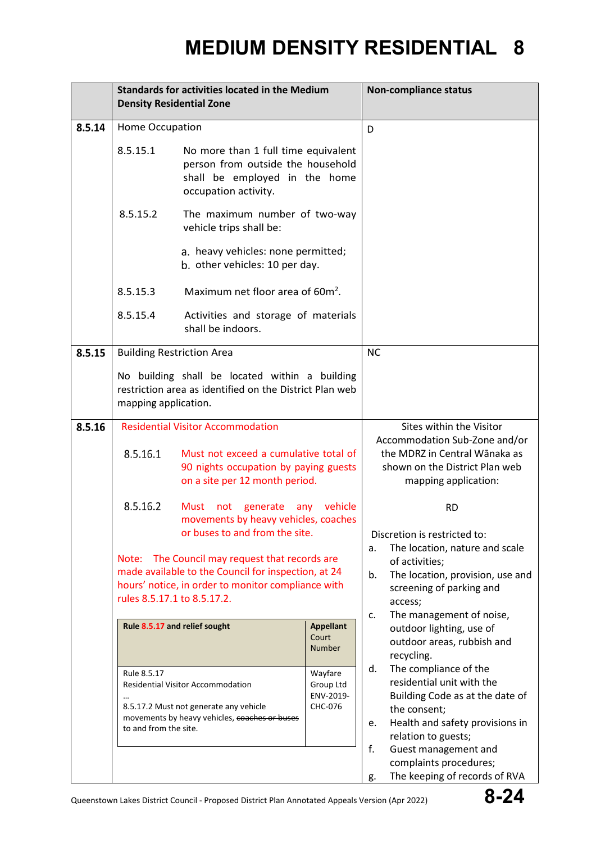|        | <b>Standards for activities located in the Medium</b><br><b>Density Residential Zone</b>                                                                                                      |                                                                                                                                   | <b>Non-compliance status</b>                                                                                                                                              |                                                                                                                                                                                                           |
|--------|-----------------------------------------------------------------------------------------------------------------------------------------------------------------------------------------------|-----------------------------------------------------------------------------------------------------------------------------------|---------------------------------------------------------------------------------------------------------------------------------------------------------------------------|-----------------------------------------------------------------------------------------------------------------------------------------------------------------------------------------------------------|
| 8.5.14 | Home Occupation                                                                                                                                                                               |                                                                                                                                   | D                                                                                                                                                                         |                                                                                                                                                                                                           |
|        | 8.5.15.1                                                                                                                                                                                      | No more than 1 full time equivalent<br>person from outside the household<br>shall be employed in the home<br>occupation activity. |                                                                                                                                                                           |                                                                                                                                                                                                           |
|        | 8.5.15.2                                                                                                                                                                                      | The maximum number of two-way<br>vehicle trips shall be:<br>a. heavy vehicles: none permitted;                                    |                                                                                                                                                                           |                                                                                                                                                                                                           |
|        |                                                                                                                                                                                               | b. other vehicles: 10 per day.                                                                                                    |                                                                                                                                                                           |                                                                                                                                                                                                           |
|        | 8.5.15.3                                                                                                                                                                                      | Maximum net floor area of 60m <sup>2</sup> .                                                                                      |                                                                                                                                                                           |                                                                                                                                                                                                           |
|        | 8.5.15.4                                                                                                                                                                                      | Activities and storage of materials<br>shall be indoors.                                                                          |                                                                                                                                                                           |                                                                                                                                                                                                           |
| 8.5.15 | <b>Building Restriction Area</b>                                                                                                                                                              |                                                                                                                                   |                                                                                                                                                                           | <b>NC</b>                                                                                                                                                                                                 |
|        | mapping application.                                                                                                                                                                          | No building shall be located within a building<br>restriction area as identified on the District Plan web                         |                                                                                                                                                                           |                                                                                                                                                                                                           |
| 8.5.16 |                                                                                                                                                                                               | <b>Residential Visitor Accommodation</b>                                                                                          |                                                                                                                                                                           | Sites within the Visitor                                                                                                                                                                                  |
|        | 8.5.16.1                                                                                                                                                                                      | Must not exceed a cumulative total of<br>90 nights occupation by paying guests<br>on a site per 12 month period.                  |                                                                                                                                                                           | Accommodation Sub-Zone and/or<br>the MDRZ in Central Wānaka as<br>shown on the District Plan web<br>mapping application:                                                                                  |
|        | 8.5.16.2                                                                                                                                                                                      | Must not generate any vehicle<br>movements by heavy vehicles, coaches<br>or buses to and from the site.                           |                                                                                                                                                                           | <b>RD</b><br>Discretion is restricted to:                                                                                                                                                                 |
|        | The Council may request that records are<br>Note:<br>made available to the Council for inspection, at 24<br>hours' notice, in order to monitor compliance with<br>rules 8.5.17.1 to 8.5.17.2. |                                                                                                                                   | The location, nature and scale<br>a.<br>of activities;<br>b.<br>The location, provision, use and<br>screening of parking and<br>access;<br>The management of noise,<br>c. |                                                                                                                                                                                                           |
|        |                                                                                                                                                                                               | Rule 8.5.17 and relief sought                                                                                                     | <b>Appellant</b><br>Court<br><b>Number</b>                                                                                                                                | outdoor lighting, use of<br>outdoor areas, rubbish and<br>recycling.                                                                                                                                      |
|        | Rule 8.5.17<br>to and from the site.                                                                                                                                                          | Residential Visitor Accommodation<br>8.5.17.2 Must not generate any vehicle<br>movements by heavy vehicles, coaches or buses      | Wayfare<br>Group Ltd<br>ENV-2019-<br>CHC-076                                                                                                                              | The compliance of the<br>d.<br>residential unit with the<br>Building Code as at the date of<br>the consent;<br>Health and safety provisions in<br>e.<br>relation to guests;<br>f.<br>Guest management and |
|        |                                                                                                                                                                                               |                                                                                                                                   |                                                                                                                                                                           | complaints procedures;<br>The keeping of records of RVA<br>g.                                                                                                                                             |

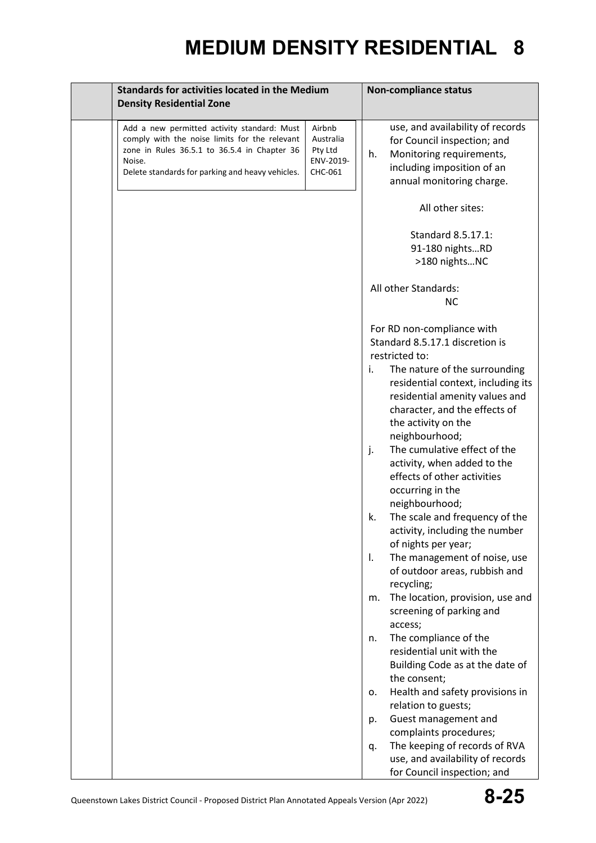| <b>Standards for activities located in the Medium</b><br><b>Density Residential Zone</b>                                                                                                                                                                             | <b>Non-compliance status</b>                                                                                                                                                                                                                                                                                                                                                                                                                                                                                                                                                                                                                                                                                                                                                                                                                                                                                                                                                                                                                           |
|----------------------------------------------------------------------------------------------------------------------------------------------------------------------------------------------------------------------------------------------------------------------|--------------------------------------------------------------------------------------------------------------------------------------------------------------------------------------------------------------------------------------------------------------------------------------------------------------------------------------------------------------------------------------------------------------------------------------------------------------------------------------------------------------------------------------------------------------------------------------------------------------------------------------------------------------------------------------------------------------------------------------------------------------------------------------------------------------------------------------------------------------------------------------------------------------------------------------------------------------------------------------------------------------------------------------------------------|
| Airbnb<br>Add a new permitted activity standard: Must<br>comply with the noise limits for the relevant<br>Australia<br>zone in Rules 36.5.1 to 36.5.4 in Chapter 36<br>Pty Ltd<br>ENV-2019-<br>Noise.<br>Delete standards for parking and heavy vehicles.<br>CHC-061 | use, and availability of records<br>for Council inspection; and<br>Monitoring requirements,<br>h.<br>including imposition of an<br>annual monitoring charge.                                                                                                                                                                                                                                                                                                                                                                                                                                                                                                                                                                                                                                                                                                                                                                                                                                                                                           |
|                                                                                                                                                                                                                                                                      | All other sites:                                                                                                                                                                                                                                                                                                                                                                                                                                                                                                                                                                                                                                                                                                                                                                                                                                                                                                                                                                                                                                       |
|                                                                                                                                                                                                                                                                      | Standard 8.5.17.1:<br>91-180 nightsRD<br>>180 nightsNC                                                                                                                                                                                                                                                                                                                                                                                                                                                                                                                                                                                                                                                                                                                                                                                                                                                                                                                                                                                                 |
|                                                                                                                                                                                                                                                                      | All other Standards:<br><b>NC</b>                                                                                                                                                                                                                                                                                                                                                                                                                                                                                                                                                                                                                                                                                                                                                                                                                                                                                                                                                                                                                      |
|                                                                                                                                                                                                                                                                      | For RD non-compliance with<br>Standard 8.5.17.1 discretion is<br>restricted to:<br>The nature of the surrounding<br>i.<br>residential context, including its<br>residential amenity values and<br>character, and the effects of<br>the activity on the<br>neighbourhood;<br>The cumulative effect of the<br>j.<br>activity, when added to the<br>effects of other activities<br>occurring in the<br>neighbourhood;<br>The scale and frequency of the<br>k.<br>activity, including the number<br>of nights per year;<br>The management of noise, use<br>$\mathbf{I}$ .<br>of outdoor areas, rubbish and<br>recycling;<br>The location, provision, use and<br>m.<br>screening of parking and<br>access;<br>The compliance of the<br>n.<br>residential unit with the<br>Building Code as at the date of<br>the consent;<br>Health and safety provisions in<br>0.<br>relation to guests;<br>Guest management and<br>p.<br>complaints procedures;<br>The keeping of records of RVA<br>q.<br>use, and availability of records<br>for Council inspection; and |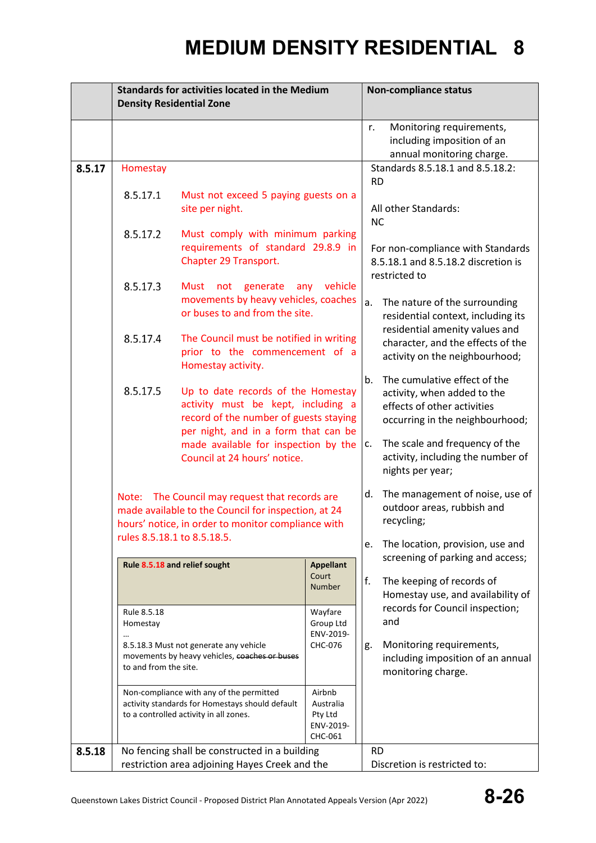|        | <b>Standards for activities located in the Medium</b><br><b>Density Residential Zone</b> |                                                                                                                                                                                                                                                   | <b>Non-compliance status</b>                            |                                                                                                  |  |
|--------|------------------------------------------------------------------------------------------|---------------------------------------------------------------------------------------------------------------------------------------------------------------------------------------------------------------------------------------------------|---------------------------------------------------------|--------------------------------------------------------------------------------------------------|--|
|        |                                                                                          |                                                                                                                                                                                                                                                   |                                                         |                                                                                                  |  |
|        |                                                                                          |                                                                                                                                                                                                                                                   | Monitoring requirements,<br>r.                          |                                                                                                  |  |
|        |                                                                                          |                                                                                                                                                                                                                                                   | including imposition of an<br>annual monitoring charge. |                                                                                                  |  |
| 8.5.17 | Homestay                                                                                 |                                                                                                                                                                                                                                                   |                                                         | Standards 8.5.18.1 and 8.5.18.2:                                                                 |  |
|        |                                                                                          |                                                                                                                                                                                                                                                   |                                                         | <b>RD</b>                                                                                        |  |
|        | 8.5.17.1                                                                                 | Must not exceed 5 paying guests on a                                                                                                                                                                                                              |                                                         |                                                                                                  |  |
|        |                                                                                          | site per night.                                                                                                                                                                                                                                   |                                                         | All other Standards:                                                                             |  |
|        | 8.5.17.2                                                                                 | Must comply with minimum parking                                                                                                                                                                                                                  |                                                         | <b>NC</b>                                                                                        |  |
|        |                                                                                          | requirements of standard 29.8.9 in                                                                                                                                                                                                                |                                                         | For non-compliance with Standards<br>8.5.18.1 and 8.5.18.2 discretion is                         |  |
|        |                                                                                          | Chapter 29 Transport.                                                                                                                                                                                                                             |                                                         |                                                                                                  |  |
|        |                                                                                          |                                                                                                                                                                                                                                                   |                                                         | restricted to                                                                                    |  |
|        | 8.5.17.3                                                                                 | Must not<br>generate                                                                                                                                                                                                                              | vehicle<br>any                                          |                                                                                                  |  |
|        |                                                                                          | movements by heavy vehicles, coaches<br>or buses to and from the site.                                                                                                                                                                            |                                                         | a.<br>The nature of the surrounding                                                              |  |
|        |                                                                                          |                                                                                                                                                                                                                                                   |                                                         | residential context, including its<br>residential amenity values and                             |  |
|        | 8.5.17.4                                                                                 | The Council must be notified in writing                                                                                                                                                                                                           |                                                         | character, and the effects of the                                                                |  |
|        |                                                                                          | prior to the commencement of a                                                                                                                                                                                                                    |                                                         | activity on the neighbourhood;                                                                   |  |
|        |                                                                                          | Homestay activity.                                                                                                                                                                                                                                |                                                         |                                                                                                  |  |
|        | 8.5.17.5                                                                                 | Up to date records of the Homestay                                                                                                                                                                                                                |                                                         | The cumulative effect of the<br>b.<br>activity, when added to the<br>effects of other activities |  |
|        |                                                                                          | activity must be kept, including a                                                                                                                                                                                                                |                                                         |                                                                                                  |  |
|        |                                                                                          | record of the number of guests staying                                                                                                                                                                                                            |                                                         | occurring in the neighbourhood;                                                                  |  |
|        |                                                                                          |                                                                                                                                                                                                                                                   | per night, and in a form that can be                    |                                                                                                  |  |
|        |                                                                                          | made available for inspection by the<br>Council at 24 hours' notice.                                                                                                                                                                              |                                                         | The scale and frequency of the<br>c.<br>activity, including the number of                        |  |
|        |                                                                                          |                                                                                                                                                                                                                                                   |                                                         | nights per year;                                                                                 |  |
|        |                                                                                          |                                                                                                                                                                                                                                                   |                                                         | The management of noise, use of<br>d.<br>outdoor areas, rubbish and<br>recycling;                |  |
|        |                                                                                          | Note: The Council may request that records are                                                                                                                                                                                                    |                                                         |                                                                                                  |  |
|        |                                                                                          | made available to the Council for inspection, at 24                                                                                                                                                                                               |                                                         |                                                                                                  |  |
|        |                                                                                          | hours' notice, in order to monitor compliance with<br>rules 8.5.18.1 to 8.5.18.5.                                                                                                                                                                 |                                                         |                                                                                                  |  |
|        |                                                                                          |                                                                                                                                                                                                                                                   |                                                         | The location, provision, use and<br>е.                                                           |  |
|        |                                                                                          | Rule 8.5.18 and relief sought<br><b>Appellant</b>                                                                                                                                                                                                 |                                                         | screening of parking and access;                                                                 |  |
|        |                                                                                          |                                                                                                                                                                                                                                                   | Court<br><b>Number</b>                                  | f.<br>The keeping of records of                                                                  |  |
|        |                                                                                          | Rule 8.5.18<br>Wayfare<br>Group Ltd<br>Homestay<br>ENV-2019-                                                                                                                                                                                      |                                                         | Homestay use, and availability of                                                                |  |
|        |                                                                                          |                                                                                                                                                                                                                                                   |                                                         | records for Council inspection;                                                                  |  |
|        |                                                                                          |                                                                                                                                                                                                                                                   |                                                         | and                                                                                              |  |
|        |                                                                                          | 8.5.18.3 Must not generate any vehicle                                                                                                                                                                                                            | CHC-076                                                 | Monitoring requirements,<br>g.                                                                   |  |
|        |                                                                                          | movements by heavy vehicles, coaches or buses<br>to and from the site.<br>Non-compliance with any of the permitted<br>Airbnb<br>activity standards for Homestays should default<br>Australia<br>to a controlled activity in all zones.<br>Pty Ltd |                                                         | including imposition of an annual                                                                |  |
|        |                                                                                          |                                                                                                                                                                                                                                                   |                                                         | monitoring charge.                                                                               |  |
|        |                                                                                          |                                                                                                                                                                                                                                                   |                                                         |                                                                                                  |  |
|        |                                                                                          |                                                                                                                                                                                                                                                   |                                                         |                                                                                                  |  |
|        | ENV-2019-                                                                                |                                                                                                                                                                                                                                                   |                                                         |                                                                                                  |  |
|        |                                                                                          |                                                                                                                                                                                                                                                   | CHC-061                                                 |                                                                                                  |  |
| 8.5.18 |                                                                                          | No fencing shall be constructed in a building                                                                                                                                                                                                     |                                                         | <b>RD</b>                                                                                        |  |
|        | restriction area adjoining Hayes Creek and the                                           |                                                                                                                                                                                                                                                   |                                                         | Discretion is restricted to:                                                                     |  |